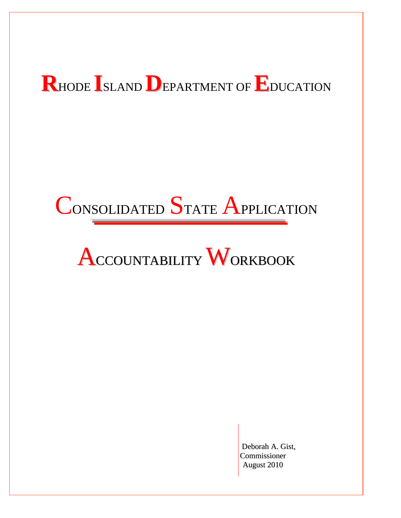# **R**HODE **I**SLAND **D**EPARTMENT OF **E**DUCATION

# CONSOLIDATED STATE APPLICATION

# ACCOUNTABILITY WORKBOOK

Deborah A. Gist, Commissioner August 2010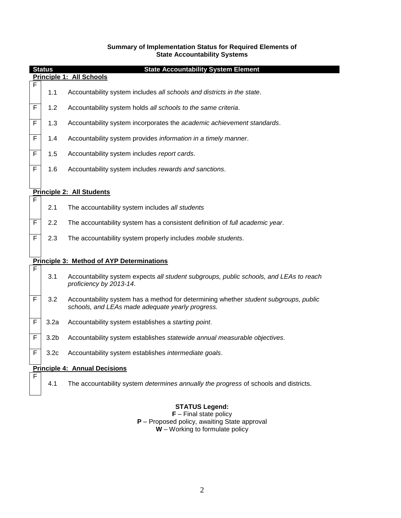#### **Summary of Implementation Status for Required Elements of State Accountability Systems**

|             | <b>Status</b>    | <b>State Accountability System Element</b><br>Principle 1: All Schools                                                                   |  |  |  |  |  |
|-------------|------------------|------------------------------------------------------------------------------------------------------------------------------------------|--|--|--|--|--|
| F           |                  |                                                                                                                                          |  |  |  |  |  |
|             | 1.1              | Accountability system includes all schools and districts in the state.                                                                   |  |  |  |  |  |
| F           | 1.2              | Accountability system holds all schools to the same criteria.                                                                            |  |  |  |  |  |
| F           | 1.3              | Accountability system incorporates the academic achievement standards.                                                                   |  |  |  |  |  |
| F           | 1.4              | Accountability system provides information in a timely manner.                                                                           |  |  |  |  |  |
| F           | 1.5              | Accountability system includes report cards.                                                                                             |  |  |  |  |  |
| F           | 1.6              | Accountability system includes rewards and sanctions.                                                                                    |  |  |  |  |  |
|             |                  |                                                                                                                                          |  |  |  |  |  |
|             |                  | <b>Principle 2: All Students</b>                                                                                                         |  |  |  |  |  |
| F           | 2.1              | The accountability system includes all students                                                                                          |  |  |  |  |  |
| $\mathsf F$ | 2.2              | The accountability system has a consistent definition of full academic year.                                                             |  |  |  |  |  |
| F           | 2.3              | The accountability system properly includes mobile students.                                                                             |  |  |  |  |  |
|             |                  |                                                                                                                                          |  |  |  |  |  |
|             |                  | <b>Principle 3: Method of AYP Determinations</b>                                                                                         |  |  |  |  |  |
| F           | 3.1              | Accountability system expects all student subgroups, public schools, and LEAs to reach<br>proficiency by 2013-14.                        |  |  |  |  |  |
| F           | 3.2              | Accountability system has a method for determining whether student subgroups, public<br>schools, and LEAs made adequate yearly progress. |  |  |  |  |  |
| $\mathsf F$ | 3.2a             | Accountability system establishes a starting point.                                                                                      |  |  |  |  |  |
| F           | 3.2 <sub>b</sub> | Accountability system establishes statewide annual measurable objectives.                                                                |  |  |  |  |  |
| F           | 3.2 <sub>c</sub> | Accountability system establishes intermediate goals.                                                                                    |  |  |  |  |  |
|             |                  | <b>Principle 4: Annual Decisions</b>                                                                                                     |  |  |  |  |  |
| F           |                  |                                                                                                                                          |  |  |  |  |  |
|             | 4.1              | The accountability system determines annually the progress of schools and districts.                                                     |  |  |  |  |  |

#### **STATUS Legend:**

**F** – Final state policy **P** – Proposed policy, awaiting State approval **W** – Working to formulate policy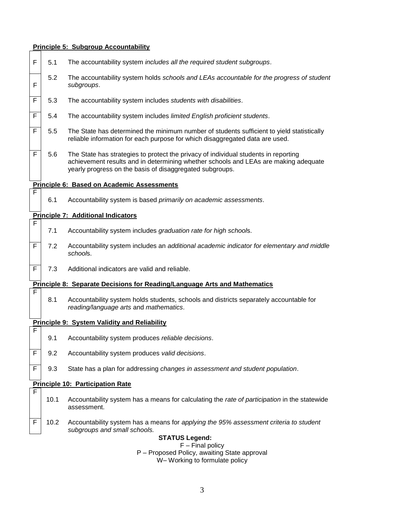#### **Principle 5: Subgroup Accountability**



#### **Principle 7: Additional Indicators** F

F

F

F

- 7.1 Accountability system includes *graduation rate for high school*s.
- F 7.2 Accountability system includes an *additional academic indicator for elementary and middle school*s.
- $\overline{F}$  7.3 Additional indicators are valid and reliable.

#### **Principle 8: Separate Decisions for Reading/Language Arts and Mathematics**

8.1 Accountability system holds students, schools and districts separately accountable for *reading/language arts* and *mathematics*.

#### **Principle 9: System Validity and Reliability**

- 9.1 Accountability system produces *reliable decisions*.
- F 9.2 Accountability system produces *valid decisions*.
- F 9.3 State has a plan for addressing *changes in assessment and student population*.

#### **Principle 10: Participation Rate**

- 10.1 Accountability system has a means for calculating the *rate of participation* in the statewide assessment.
- F 10.2 Accountability system has a means for *applying the 95% assessment criteria to student subgroups and small schools.*

#### **STATUS Legend:** F – Final policy P – Proposed Policy, awaiting State approval W– Working to formulate policy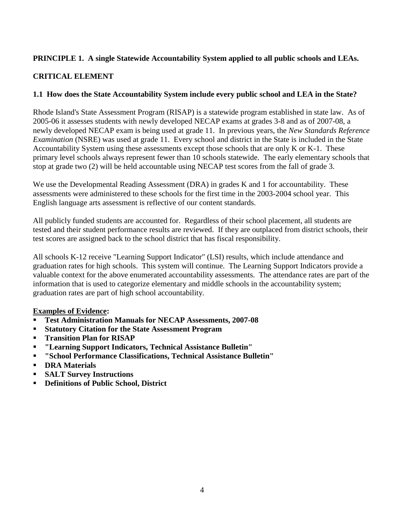# **PRINCIPLE 1. A single Statewide Accountability System applied to all public schools and LEAs.**

## **CRITICAL ELEMENT**

## **1.1 How does the State Accountability System include every public school and LEA in the State?**

Rhode Island's State Assessment Program (RISAP) is a statewide program established in state law. As of 2005-06 it assesses students with newly developed NECAP exams at grades 3-8 and as of 2007-08, a newly developed NECAP exam is being used at grade 11. In previous years, the *New Standards Reference Examination* (NSRE) was used at grade 11. Every school and district in the State is included in the State Accountability System using these assessments except those schools that are only K or K-1. These primary level schools always represent fewer than 10 schools statewide. The early elementary schools that stop at grade two (2) will be held accountable using NECAP test scores from the fall of grade 3.

We use the Developmental Reading Assessment (DRA) in grades K and 1 for accountability. These assessments were administered to these schools for the first time in the 2003-2004 school year. This English language arts assessment is reflective of our content standards.

All publicly funded students are accounted for. Regardless of their school placement, all students are tested and their student performance results are reviewed. If they are outplaced from district schools, their test scores are assigned back to the school district that has fiscal responsibility.

All schools K-12 receive "Learning Support Indicator" (LSI) results, which include attendance and graduation rates for high schools. This system will continue. The Learning Support Indicators provide a valuable context for the above enumerated accountability assessments. The attendance rates are part of the information that is used to categorize elementary and middle schools in the accountability system; graduation rates are part of high school accountability.

#### **Examples of Evidence:**

- **Test Administration Manuals for NECAP Assessments, 2007-08**
- **Statutory Citation for the State Assessment Program**
- **Transition Plan for RISAP**
- **"Learning Support Indicators, Technical Assistance Bulletin"**
- **"School Performance Classifications, Technical Assistance Bulletin"**
- **•** DRA Materials
- **SALT Survey Instructions**
- **Definitions of Public School, District**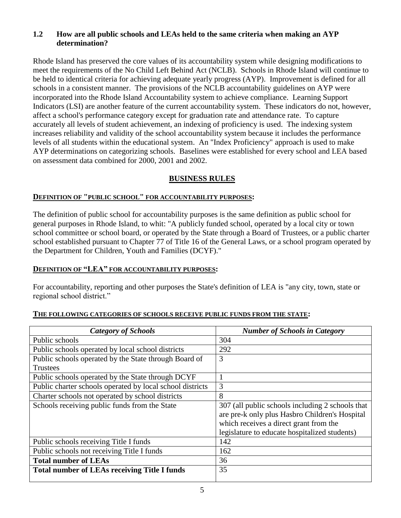## **1.2 How are all public schools and LEAs held to the same criteria when making an AYP determination?**

Rhode Island has preserved the core values of its accountability system while designing modifications to meet the requirements of the No Child Left Behind Act (NCLB). Schools in Rhode Island will continue to be held to identical criteria for achieving adequate yearly progress (AYP). Improvement is defined for all schools in a consistent manner. The provisions of the NCLB accountability guidelines on AYP were incorporated into the Rhode Island Accountability system to achieve compliance. Learning Support Indicators (LSI) are another feature of the current accountability system. These indicators do not, however, affect a school's performance category except for graduation rate and attendance rate. To capture accurately all levels of student achievement, an indexing of proficiency is used. The indexing system increases reliability and validity of the school accountability system because it includes the performance levels of all students within the educational system. An "Index Proficiency" approach is used to make AYP determinations on categorizing schools. Baselines were established for every school and LEA based on assessment data combined for 2000, 2001 and 2002.

# **BUSINESS RULES**

## **DEFINITION OF "PUBLIC SCHOOL" FOR ACCOUNTABILITY PURPOSES:**

The definition of public school for accountability purposes is the same definition as public school for general purposes in Rhode Island, to whit: "A publicly funded school, operated by a local city or town school committee or school board, or operated by the State through a Board of Trustees, or a public charter school established pursuant to Chapter 77 of Title 16 of the General Laws, or a school program operated by the Department for Children, Youth and Families (DCYF)."

## **DEFINITION OF "LEA" FOR ACCOUNTABILITY PURPOSES:**

For accountability, reporting and other purposes the State's definition of LEA is "any city, town, state or regional school district."

# *Category of Schools Number of Schools in Category*  Public schools 304 Public schools operated by local school districts 292 Public schools operated by the State through Board of **Trustees** 3 Public schools operated by the State through DCYF 1 Public charter schools operated by local school districts  $\begin{bmatrix} 3 \end{bmatrix}$ Charter schools not operated by school districts  $\begin{array}{|l|l|}8\end{array}$ Schools receiving public funds from the State 307 (all public schools including 2 schools that are pre-k only plus Hasbro Children's Hospital which receives a direct grant from the legislature to educate hospitalized students) Public schools receiving Title I funds 142 Public schools not receiving Title I funds 162 **Total number of LEAs** 36 **Total number of LEAs receiving Title I funds** 35

#### **THE FOLLOWING CATEGORIES OF SCHOOLS RECEIVE PUBLIC FUNDS FROM THE STATE:**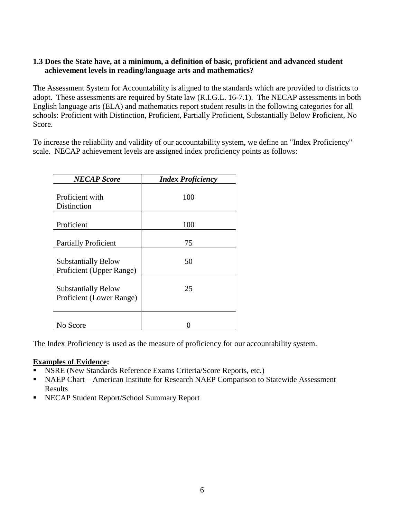## **1.3 Does the State have, at a minimum, a definition of basic, proficient and advanced student achievement levels in reading/language arts and mathematics?**

The Assessment System for Accountability is aligned to the standards which are provided to districts to adopt. These assessments are required by State law (R.I.G.L. 16-7.1). The NECAP assessments in both English language arts (ELA) and mathematics report student results in the following categories for all schools: Proficient with Distinction, Proficient, Partially Proficient, Substantially Below Proficient, No Score.

To increase the reliability and validity of our accountability system, we define an "Index Proficiency" scale. NECAP achievement levels are assigned index proficiency points as follows:

| <b>NECAP</b> Score                                     | <b>Index Proficiency</b> |
|--------------------------------------------------------|--------------------------|
| Proficient with<br>Distinction                         | 100                      |
| Proficient                                             | 100                      |
| <b>Partially Proficient</b>                            | 75                       |
| <b>Substantially Below</b><br>Proficient (Upper Range) | 50                       |
| <b>Substantially Below</b><br>Proficient (Lower Range) | 25                       |
| No Score                                               |                          |

The Index Proficiency is used as the measure of proficiency for our accountability system.

#### **Examples of Evidence:**

- **NSRE (New Standards Reference Exams Criteria/Score Reports, etc.)**
- NAEP Chart American Institute for Research NAEP Comparison to Statewide Assessment Results
- NECAP Student Report/School Summary Report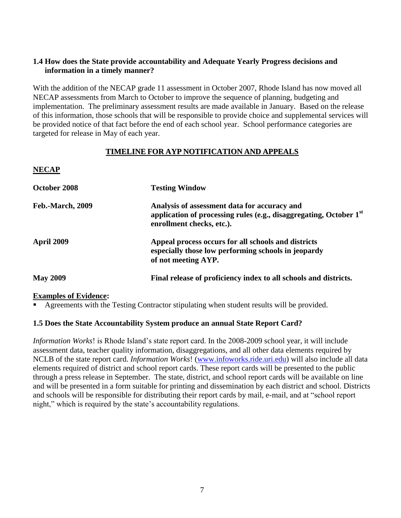## **1.4 How does the State provide accountability and Adequate Yearly Progress decisions and information in a timely manner?**

With the addition of the NECAP grade 11 assessment in October 2007, Rhode Island has now moved all NECAP assessments from March to October to improve the sequence of planning, budgeting and implementation. The preliminary assessment results are made available in January. Based on the release of this information, those schools that will be responsible to provide choice and supplemental services will be provided notice of that fact before the end of each school year. School performance categories are targeted for release in May of each year.

## **TIMELINE FOR AYP NOTIFICATION AND APPEALS**

| NECAP                   |                                                                                                                                                   |
|-------------------------|---------------------------------------------------------------------------------------------------------------------------------------------------|
| October 2008            | <b>Testing Window</b>                                                                                                                             |
| <b>Feb.-March, 2009</b> | Analysis of assessment data for accuracy and<br>application of processing rules (e.g., disaggregating, October $1st$<br>enrollment checks, etc.). |
| <b>April 2009</b>       | Appeal process occurs for all schools and districts<br>especially those low performing schools in jeopardy<br>of not meeting AYP.                 |
| <b>May 2009</b>         | Final release of proficiency index to all schools and districts.                                                                                  |

## **Examples of Evidence:**

**NECAP**

Agreements with the Testing Contractor stipulating when student results will be provided.

## **1.5 Does the State Accountability System produce an annual State Report Card?**

*Information Works*! is Rhode Island's state report card. In the 2008-2009 school year, it will include assessment data, teacher quality information, disaggregations, and all other data elements required by NCLB of the state report card. *Information Works*! [\(www.infoworks.ride.uri.edu\)](http://www.infoworks.ride.uri.edu/) will also include all data elements required of district and school report cards. These report cards will be presented to the public through a press release in September. The state, district, and school report cards will be available on line and will be presented in a form suitable for printing and dissemination by each district and school. Districts and schools will be responsible for distributing their report cards by mail, e-mail, and at "school report night," which is required by the state's accountability regulations.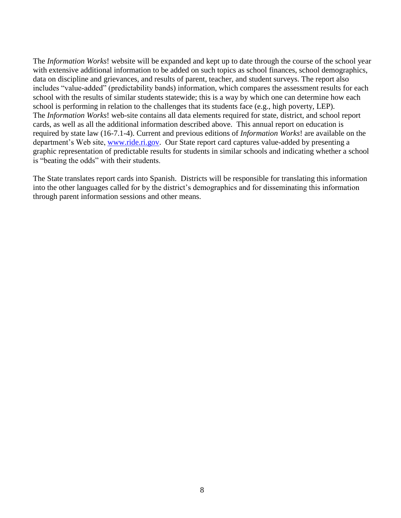The *Information Works*! website will be expanded and kept up to date through the course of the school year with extensive additional information to be added on such topics as school finances, school demographics, data on discipline and grievances, and results of parent, teacher, and student surveys. The report also includes "value-added" (predictability bands) information, which compares the assessment results for each school with the results of similar students statewide; this is a way by which one can determine how each school is performing in relation to the challenges that its students face (e.g., high poverty, LEP). The *Information Works*! web-site contains all data elements required for state, district, and school report cards, as well as all the additional information described above. This annual report on education is required by state law (16-7.1-4). Current and previous editions of *Information Works*! are available on the department's Web site, [www.ride.ri.gov.](http://www.ride.ri.gov/) Our State report card captures value-added by presenting a graphic representation of predictable results for students in similar schools and indicating whether a school is "beating the odds" with their students.

The State translates report cards into Spanish. Districts will be responsible for translating this information into the other languages called for by the district's demographics and for disseminating this information through parent information sessions and other means.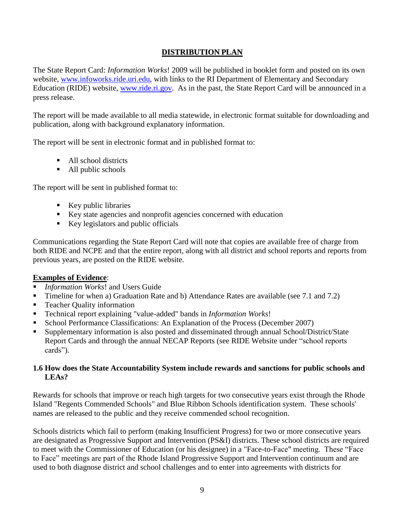## **DISTRIBUTION PLAN**

The State Report Card: *Information Works*! 2009 will be published in booklet form and posted on its own website, [www.infoworks.ride.uri.edu,](http://www.infoworks.ride.uri.edu/) with links to the RI Department of Elementary and Secondary Education (RIDE) website, [www.ride.ri.gov.](http://www.ride.ri.gov/) As in the past, the State Report Card will be announced in a press release.

The report will be made available to all media statewide, in electronic format suitable for downloading and publication, along with background explanatory information.

The report will be sent in electronic format and in published format to:

- All school districts
- All public schools

The report will be sent in published format to:

- $\blacksquare$  Key public libraries
- Key state agencies and nonprofit agencies concerned with education
- Key legislators and public officials

Communications regarding the State Report Card will note that copies are available free of charge from both RIDE and NCPE and that the entire report, along with all district and school reports and reports from previous years, are posted on the RIDE website.

## **Examples of Evidence**:

- *Information Works*! and Users Guide
- Timeline for when a) Graduation Rate and b) Attendance Rates are available (see 7.1 and 7.2)
- **Teacher Quality information**
- Technical report explaining "value-added" bands in *Information Works*!
- School Performance Classifications: An Explanation of the Process (December 2007)
- Supplementary information is also posted and disseminated through annual School/District/State Report Cards and through the annual NECAP Reports (see RIDE Website under "school reports cards").

## **1.6 How does the State Accountability System include rewards and sanctions for public schools and LEAs?**

Rewards for schools that improve or reach high targets for two consecutive years exist through the Rhode Island "Regents Commended Schools" and Blue Ribbon Schools identification system. These schools' names are released to the public and they receive commended school recognition.

Schools districts which fail to perform (making Insufficient Progress) for two or more consecutive years are designated as Progressive Support and Intervention (PS&I) districts. These school districts are required to meet with the Commissioner of Education (or his designee) in a "Face-to-Face" meeting. These "Face to Face" meetings are part of the Rhode Island Progressive Support and Intervention continuum and are used to both diagnose district and school challenges and to enter into agreements with districts for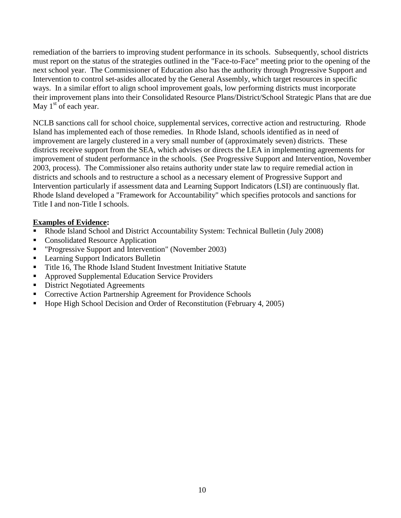remediation of the barriers to improving student performance in its schools. Subsequently, school districts must report on the status of the strategies outlined in the "Face-to-Face" meeting prior to the opening of the next school year. The Commissioner of Education also has the authority through Progressive Support and Intervention to control set-asides allocated by the General Assembly, which target resources in specific ways. In a similar effort to align school improvement goals, low performing districts must incorporate their improvement plans into their Consolidated Resource Plans/District/School Strategic Plans that are due May  $1<sup>st</sup>$  of each year.

NCLB sanctions call for school choice, supplemental services, corrective action and restructuring. Rhode Island has implemented each of those remedies. In Rhode Island, schools identified as in need of improvement are largely clustered in a very small number of (approximately seven) districts. These districts receive support from the SEA, which advises or directs the LEA in implementing agreements for improvement of student performance in the schools. (See Progressive Support and Intervention, November 2003, process). The Commissioner also retains authority under state law to require remedial action in districts and schools and to restructure a school as a necessary element of Progressive Support and Intervention particularly if assessment data and Learning Support Indicators (LSI) are continuously flat. Rhode Island developed a "Framework for Accountability" which specifies protocols and sanctions for Title I and non-Title I schools.

## **Examples of Evidence:**

- Rhode Island School and District Accountability System: Technical Bulletin (July 2008)
- Consolidated Resource Application
- "Progressive Support and Intervention" (November 2003)
- **Learning Support Indicators Bulletin**
- Title 16, The Rhode Island Student Investment Initiative Statute
- Approved Supplemental Education Service Providers
- District Negotiated Agreements
- **Corrective Action Partnership Agreement for Providence Schools**
- Hope High School Decision and Order of Reconstitution (February 4, 2005)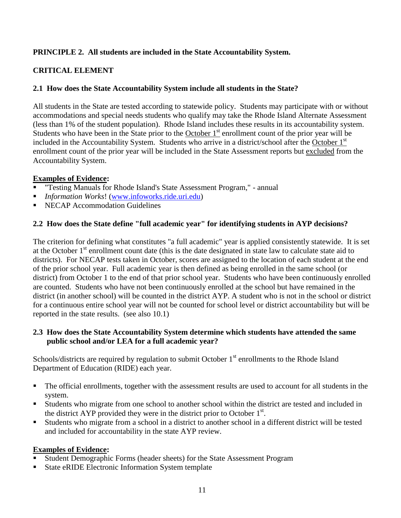# **PRINCIPLE 2. All students are included in the State Accountability System.**

## **CRITICAL ELEMENT**

## **2.1 How does the State Accountability System include all students in the State?**

All students in the State are tested according to statewide policy. Students may participate with or without accommodations and special needs students who qualify may take the Rhode Island Alternate Assessment (less than 1% of the student population). Rhode Island includes these results in its accountability system. Students who have been in the State prior to the October  $1<sup>st</sup>$  enrollment count of the prior year will be included in the Accountability System. Students who arrive in a district/school after the October 1<sup>st</sup> enrollment count of the prior year will be included in the State Assessment reports but excluded from the Accountability System.

### **Examples of Evidence:**

- "Testing Manuals for Rhode Island's State Assessment Program," annual
- *Information Works*! [\(www.infoworks.ride.uri.edu\)](http://www.infoworks.ride.uri.edu/)
- **NECAP Accommodation Guidelines**

### **2.2 How does the State define "full academic year" for identifying students in AYP decisions?**

The criterion for defining what constitutes "a full academic" year is applied consistently statewide. It is set at the October 1<sup>st</sup> enrollment count date (this is the date designated in state law to calculate state aid to districts). For NECAP tests taken in October, scores are assigned to the location of each student at the end of the prior school year. Full academic year is then defined as being enrolled in the same school (or district) from October 1 to the end of that prior school year. Students who have been continuously enrolled are counted. Students who have not been continuously enrolled at the school but have remained in the district (in another school) will be counted in the district AYP. A student who is not in the school or district for a continuous entire school year will not be counted for school level or district accountability but will be reported in the state results. (see also 10.1)

## **2.3 How does the State Accountability System determine which students have attended the same public school and/or LEA for a full academic year?**

Schools/districts are required by regulation to submit October  $1<sup>st</sup>$  enrollments to the Rhode Island Department of Education (RIDE) each year.

- The official enrollments, together with the assessment results are used to account for all students in the system.
- Students who migrate from one school to another school within the district are tested and included in the district AYP provided they were in the district prior to October  $1<sup>st</sup>$ .
- Students who migrate from a school in a district to another school in a different district will be tested and included for accountability in the state AYP review.

## **Examples of Evidence:**

- Student Demographic Forms (header sheets) for the State Assessment Program
- **State eRIDE Electronic Information System template**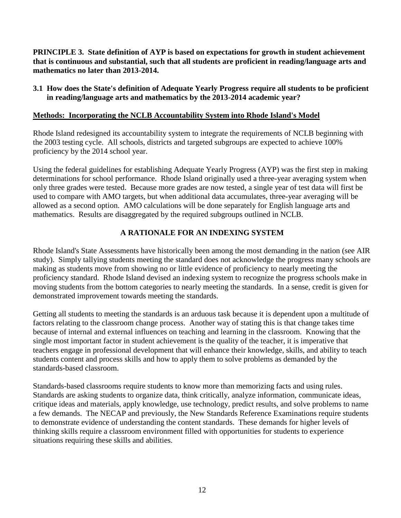**PRINCIPLE 3. State definition of AYP is based on expectations for growth in student achievement that is continuous and substantial, such that all students are proficient in reading/language arts and mathematics no later than 2013-2014.**

**3.1 How does the State's definition of Adequate Yearly Progress require all students to be proficient in reading/language arts and mathematics by the 2013-2014 academic year?**

#### **Methods: Incorporating the NCLB Accountability System into Rhode Island's Model**

Rhode Island redesigned its accountability system to integrate the requirements of NCLB beginning with the 2003 testing cycle. All schools, districts and targeted subgroups are expected to achieve 100% proficiency by the 2014 school year.

Using the federal guidelines for establishing Adequate Yearly Progress (AYP) was the first step in making determinations for school performance. Rhode Island originally used a three-year averaging system when only three grades were tested. Because more grades are now tested, a single year of test data will first be used to compare with AMO targets, but when additional data accumulates, three-year averaging will be allowed as a second option. AMO calculations will be done separately for English language arts and mathematics. Results are disaggregated by the required subgroups outlined in NCLB.

## **A RATIONALE FOR AN INDEXING SYSTEM**

Rhode Island's State Assessments have historically been among the most demanding in the nation (see AIR study). Simply tallying students meeting the standard does not acknowledge the progress many schools are making as students move from showing no or little evidence of proficiency to nearly meeting the proficiency standard. Rhode Island devised an indexing system to recognize the progress schools make in moving students from the bottom categories to nearly meeting the standards. In a sense, credit is given for demonstrated improvement towards meeting the standards.

Getting all students to meeting the standards is an arduous task because it is dependent upon a multitude of factors relating to the classroom change process. Another way of stating this is that change takes time because of internal and external influences on teaching and learning in the classroom. Knowing that the single most important factor in student achievement is the quality of the teacher, it is imperative that teachers engage in professional development that will enhance their knowledge, skills, and ability to teach students content and process skills and how to apply them to solve problems as demanded by the standards-based classroom.

Standards-based classrooms require students to know more than memorizing facts and using rules. Standards are asking students to organize data, think critically, analyze information, communicate ideas, critique ideas and materials, apply knowledge, use technology, predict results, and solve problems to name a few demands. The NECAP and previously, the New Standards Reference Examinations require students to demonstrate evidence of understanding the content standards. These demands for higher levels of thinking skills require a classroom environment filled with opportunities for students to experience situations requiring these skills and abilities.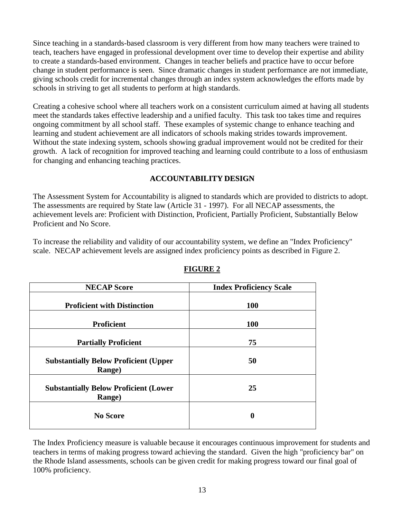Since teaching in a standards-based classroom is very different from how many teachers were trained to teach, teachers have engaged in professional development over time to develop their expertise and ability to create a standards-based environment. Changes in teacher beliefs and practice have to occur before change in student performance is seen. Since dramatic changes in student performance are not immediate, giving schools credit for incremental changes through an index system acknowledges the efforts made by schools in striving to get all students to perform at high standards.

Creating a cohesive school where all teachers work on a consistent curriculum aimed at having all students meet the standards takes effective leadership and a unified faculty. This task too takes time and requires ongoing commitment by all school staff. These examples of systemic change to enhance teaching and learning and student achievement are all indicators of schools making strides towards improvement. Without the state indexing system, schools showing gradual improvement would not be credited for their growth. A lack of recognition for improved teaching and learning could contribute to a loss of enthusiasm for changing and enhancing teaching practices.

# **ACCOUNTABILITY DESIGN**

The Assessment System for Accountability is aligned to standards which are provided to districts to adopt. The assessments are required by State law (Article 31 - 1997). For all NECAP assessments, the achievement levels are: Proficient with Distinction, Proficient, Partially Proficient, Substantially Below Proficient and No Score.

To increase the reliability and validity of our accountability system, we define an "Index Proficiency" scale. NECAP achievement levels are assigned index proficiency points as described in Figure 2.

| <b>NECAP Score</b>                                      | <b>Index Proficiency Scale</b> |
|---------------------------------------------------------|--------------------------------|
| <b>Proficient with Distinction</b>                      | <b>100</b>                     |
| <b>Proficient</b>                                       | <b>100</b>                     |
| <b>Partially Proficient</b>                             | 75                             |
| <b>Substantially Below Proficient (Upper</b><br>Range)  | 50                             |
| <b>Substantially Below Proficient (Lower)</b><br>Range) | 25                             |
| <b>No Score</b>                                         | 0                              |

**FIGURE 2**

The Index Proficiency measure is valuable because it encourages continuous improvement for students and teachers in terms of making progress toward achieving the standard. Given the high "proficiency bar" on the Rhode Island assessments, schools can be given credit for making progress toward our final goal of 100% proficiency.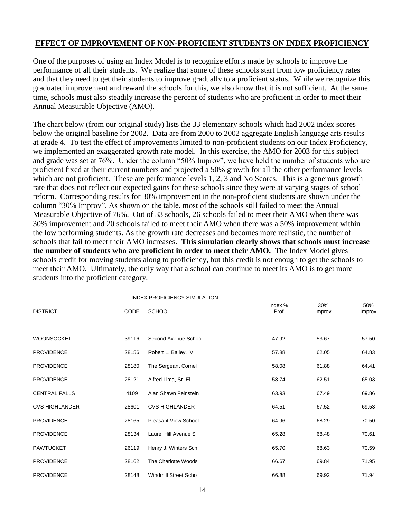## **EFFECT OF IMPROVEMENT OF NON-PROFICIENT STUDENTS ON INDEX PROFICIENCY**

One of the purposes of using an Index Model is to recognize efforts made by schools to improve the performance of all their students. We realize that some of these schools start from low proficiency rates and that they need to get their students to improve gradually to a proficient status. While we recognize this graduated improvement and reward the schools for this, we also know that it is not sufficient. At the same time, schools must also steadily increase the percent of students who are proficient in order to meet their Annual Measurable Objective (AMO).

The chart below (from our original study) lists the 33 elementary schools which had 2002 index scores below the original baseline for 2002. Data are from 2000 to 2002 aggregate English language arts results at grade 4. To test the effect of improvements limited to non-proficient students on our Index Proficiency, we implemented an exaggerated growth rate model. In this exercise, the AMO for 2003 for this subject and grade was set at 76%. Under the column "50% Improv", we have held the number of students who are proficient fixed at their current numbers and projected a 50% growth for all the other performance levels which are not proficient. These are performance levels 1, 2, 3 and No Scores. This is a generous growth rate that does not reflect our expected gains for these schools since they were at varying stages of school reform. Corresponding results for 30% improvement in the non-proficient students are shown under the column "30% Improv". As shown on the table, most of the schools still failed to meet the Annual Measurable Objective of 76%. Out of 33 schools, 26 schools failed to meet their AMO when there was 30% improvement and 20 schools failed to meet their AMO when there was a 50% improvement within the low performing students. As the growth rate decreases and becomes more realistic, the number of schools that fail to meet their AMO increases. **This simulation clearly shows that schools must increase the number of students who are proficient in order to meet their AMO.** The Index Model gives schools credit for moving students along to proficiency, but this credit is not enough to get the schools to meet their AMO. Ultimately, the only way that a school can continue to meet its AMO is to get more students into the proficient category.

|                       |             | <b>INDEX PROFICIENCY SIMULATION</b> |                   |               |               |
|-----------------------|-------------|-------------------------------------|-------------------|---------------|---------------|
| <b>DISTRICT</b>       | <b>CODE</b> | <b>SCHOOL</b>                       | Index $%$<br>Prof | 30%<br>Improv | 50%<br>Improv |
|                       |             |                                     |                   |               |               |
| <b>WOONSOCKET</b>     | 39116       | Second Avenue School                | 47.92             | 53.67         | 57.50         |
| <b>PROVIDENCE</b>     | 28156       | Robert L. Bailey, IV                | 57.88             | 62.05         | 64.83         |
| <b>PROVIDENCE</b>     | 28180       | The Sergeant Cornel                 | 58.08             | 61.88         | 64.41         |
| <b>PROVIDENCE</b>     | 28121       | Alfred Lima, Sr. El                 | 58.74             | 62.51         | 65.03         |
| <b>CENTRAL FALLS</b>  | 4109        | Alan Shawn Feinstein                | 63.93             | 67.49         | 69.86         |
| <b>CVS HIGHLANDER</b> | 28601       | <b>CVS HIGHLANDER</b>               | 64.51             | 67.52         | 69.53         |
| <b>PROVIDENCE</b>     | 28165       | <b>Pleasant View School</b>         | 64.96             | 68.29         | 70.50         |
| <b>PROVIDENCE</b>     | 28134       | Laurel Hill Avenue S                | 65.28             | 68.48         | 70.61         |
| <b>PAWTUCKET</b>      | 26119       | Henry J. Winters Sch                | 65.70             | 68.63         | 70.59         |
| <b>PROVIDENCE</b>     | 28162       | The Charlotte Woods                 | 66.67             | 69.84         | 71.95         |
| <b>PROVIDENCE</b>     | 28148       | <b>Windmill Street Scho</b>         | 66.88             | 69.92         | 71.94         |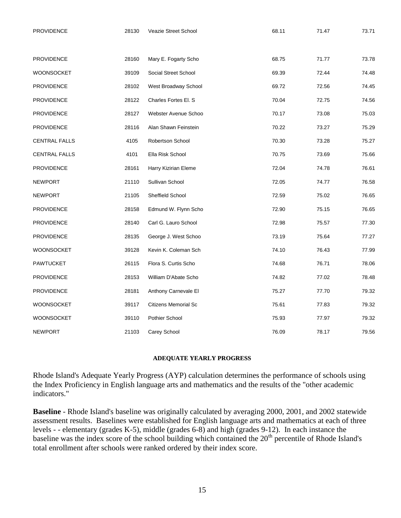| PROVIDENCE           | 28130<br>Veazie Street School |                             | 68.11 | 71.47 | 73.71 |
|----------------------|-------------------------------|-----------------------------|-------|-------|-------|
|                      |                               |                             |       |       |       |
| <b>PROVIDENCE</b>    | 28160                         | Mary E. Fogarty Scho        | 68.75 | 71.77 | 73.78 |
| <b>WOONSOCKET</b>    | 39109                         | Social Street School        | 69.39 | 72.44 | 74.48 |
| <b>PROVIDENCE</b>    | 28102                         | West Broadway School        | 69.72 | 72.56 | 74.45 |
| <b>PROVIDENCE</b>    | 28122                         | Charles Fortes El. S        | 70.04 | 72.75 | 74.56 |
| <b>PROVIDENCE</b>    | 28127                         | Webster Avenue Schoo        | 70.17 | 73.08 | 75.03 |
| <b>PROVIDENCE</b>    | 28116                         | Alan Shawn Feinstein        | 70.22 | 73.27 | 75.29 |
| <b>CENTRAL FALLS</b> | 4105                          | Robertson School            | 70.30 | 73.28 | 75.27 |
| <b>CENTRAL FALLS</b> | 4101                          | Ella Risk School            | 70.75 | 73.69 | 75.66 |
| PROVIDENCE           | 28161                         | Harry Kizirian Eleme        | 72.04 | 74.78 | 76.61 |
| <b>NEWPORT</b>       | 21110                         | Sullivan School             | 72.05 | 74.77 | 76.58 |
| <b>NEWPORT</b>       | 21105                         | Sheffield School            | 72.59 | 75.02 | 76.65 |
| <b>PROVIDENCE</b>    | 28158                         | Edmund W. Flynn Scho        | 72.90 | 75.15 | 76.65 |
| <b>PROVIDENCE</b>    | 28140                         | Carl G. Lauro School        | 72.98 | 75.57 | 77.30 |
| <b>PROVIDENCE</b>    | 28135                         | George J. West Schoo        | 73.19 | 75.64 | 77.27 |
| WOONSOCKET           | 39128                         | Kevin K. Coleman Sch        | 74.10 | 76.43 | 77.99 |
| <b>PAWTUCKET</b>     | 26115                         | Flora S. Curtis Scho        | 74.68 | 76.71 | 78.06 |
| <b>PROVIDENCE</b>    | 28153                         | William D'Abate Scho        | 74.82 | 77.02 | 78.48 |
| <b>PROVIDENCE</b>    | 28181                         | Anthony Carnevale El        | 75.27 | 77.70 | 79.32 |
| WOONSOCKET           | 39117                         | <b>Citizens Memorial Sc</b> | 75.61 | 77.83 | 79.32 |
| <b>WOONSOCKET</b>    | 39110                         | Pothier School              | 75.93 | 77.97 | 79.32 |
| <b>NEWPORT</b>       | 21103                         | Carey School                | 76.09 | 78.17 | 79.56 |

#### **ADEQUATE YEARLY PROGRESS**

Rhode Island's Adequate Yearly Progress (AYP) calculation determines the performance of schools using the Index Proficiency in English language arts and mathematics and the results of the "other academic indicators."

**Baseline** - Rhode Island's baseline was originally calculated by averaging 2000, 2001, and 2002 statewide assessment results. Baselines were established for English language arts and mathematics at each of three levels - - elementary (grades K-5), middle (grades 6-8) and high (grades 9-12). In each instance the baseline was the index score of the school building which contained the 20<sup>th</sup> percentile of Rhode Island's total enrollment after schools were ranked ordered by their index score.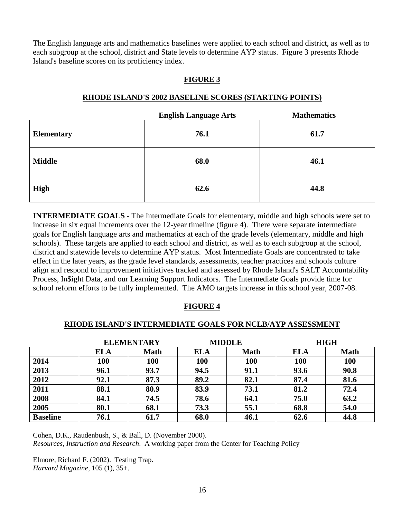The English language arts and mathematics baselines were applied to each school and district, as well as to each subgroup at the school, district and State levels to determine AYP status. Figure 3 presents Rhode Island's baseline scores on its proficiency index.

## **FIGURE 3**

|                   | <b>English Language Arts</b> | <b>Mathematics</b> |
|-------------------|------------------------------|--------------------|
| <b>Elementary</b> | 76.1                         | 61.7               |
| <b>Middle</b>     | 68.0                         | 46.1               |
| <b>High</b>       | 62.6                         | 44.8               |

#### **RHODE ISLAND'S 2002 BASELINE SCORES (STARTING POINTS)**

**INTERMEDIATE GOALS** - The Intermediate Goals for elementary, middle and high schools were set to increase in six equal increments over the 12-year timeline (figure 4). There were separate intermediate goals for English language arts and mathematics at each of the grade levels (elementary, middle and high schools). These targets are applied to each school and district, as well as to each subgroup at the school, district and statewide levels to determine AYP status. Most Intermediate Goals are concentrated to take effect in the later years, as the grade level standards, assessments, teacher practices and schools culture align and respond to improvement initiatives tracked and assessed by Rhode Island's SALT Accountability Process, In\$ight Data, and our Learning Support Indicators. The Intermediate Goals provide time for school reform efforts to be fully implemented. The AMO targets increase in this school year, 2007-08.

#### **FIGURE 4**

#### **RHODE ISLAND'S INTERMEDIATE GOALS FOR NCLB/AYP ASSESSMENT**

| <b>ELEMENTARY</b> |            |             |            | <b>MIDDLE</b> | <b>HIGH</b> |             |
|-------------------|------------|-------------|------------|---------------|-------------|-------------|
|                   | <b>ELA</b> | <b>Math</b> | <b>ELA</b> | <b>Math</b>   | <b>ELA</b>  | <b>Math</b> |
| 2014              | 100        | 100         | 100        | 100           | 100         | 100         |
| 2013              | 96.1       | 93.7        | 94.5       | 91.1          | 93.6        | 90.8        |
| 2012              | 92.1       | 87.3        | 89.2       | 82.1          | 87.4        | 81.6        |
| 2011              | 88.1       | 80.9        | 83.9       | 73.1          | 81.2        | 72.4        |
| 2008              | 84.1       | 74.5        | 78.6       | 64.1          | 75.0        | 63.2        |
| 2005              | 80.1       | 68.1        | 73.3       | 55.1          | 68.8        | 54.0        |
| <b>Baseline</b>   | 76.1       | 61.7        | 68.0       | 46.1          | 62.6        | 44.8        |

Cohen, D.K., Raudenbush, S., & Ball, D. (November 2000).

*Resources, Instruction and Research*. A working paper from the Center for Teaching Policy

Elmore, Richard F. (2002). Testing Trap. *Harvard Magazine*, 105 (1), 35+.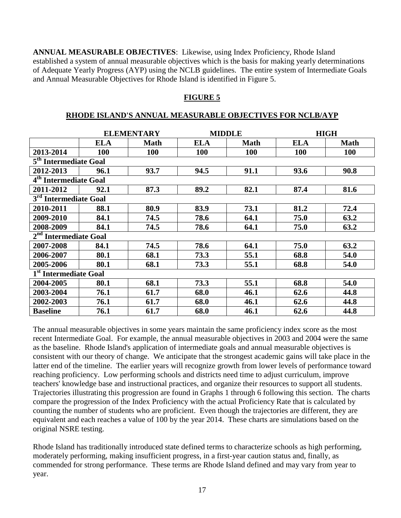**ANNUAL MEASURABLE OBJECTIVES**: Likewise, using Index Proficiency, Rhode Island established a system of annual measurable objectives which is the basis for making yearly determinations of Adequate Yearly Progress (AYP) using the NCLB guidelines. The entire system of Intermediate Goals and Annual Measurable Objectives for Rhode Island is identified in Figure 5.

#### **FIGURE 5**

#### **RHODE ISLAND'S ANNUAL MEASURABLE OBJECTIVES FOR NCLB/AYP**

|                                   |            | <b>ELEMENTARY</b> | <b>MIDDLE</b> |             | <b>HIGH</b> |             |
|-----------------------------------|------------|-------------------|---------------|-------------|-------------|-------------|
|                                   | <b>ELA</b> | <b>Math</b>       | <b>ELA</b>    | <b>Math</b> | <b>ELA</b>  | <b>Math</b> |
| 2013-2014                         | 100        | 100               | <b>100</b>    | <b>100</b>  | 100         | <b>100</b>  |
| 5 <sup>th</sup> Intermediate Goal |            |                   |               |             |             |             |
| 2012-2013                         | 96.1       | 93.7              | 94.5          | 91.1        | 93.6        | 90.8        |
| 4 <sup>th</sup> Intermediate Goal |            |                   |               |             |             |             |
| 2011-2012                         | 92.1       | 87.3              | 89.2          | 82.1        | 87.4        | 81.6        |
| 3 <sup>rd</sup> Intermediate Goal |            |                   |               |             |             |             |
| 2010-2011                         | 88.1       | 80.9              | 83.9          | 73.1        | 81.2        | 72.4        |
| 2009-2010                         | 84.1       | 74.5              | 78.6          | 64.1        | 75.0        | 63.2        |
| 2008-2009                         | 84.1       | 74.5              | 78.6          | 64.1        | 75.0        | 63.2        |
| 2 <sup>nd</sup> Intermediate Goal |            |                   |               |             |             |             |
| 2007-2008                         | 84.1       | 74.5              | 78.6          | 64.1        | 75.0        | 63.2        |
| 2006-2007                         | 80.1       | 68.1              | 73.3          | 55.1        | 68.8        | 54.0        |
| 2005-2006                         | 80.1       | 68.1              | 73.3          | 55.1        | 68.8        | 54.0        |
| 1 <sup>st</sup> Intermediate Goal |            |                   |               |             |             |             |
| 2004-2005                         | 80.1       | 68.1              | 73.3          | 55.1        | 68.8        | 54.0        |
| 2003-2004                         | 76.1       | 61.7              | 68.0          | 46.1        | 62.6        | 44.8        |
| 2002-2003                         | 76.1       | 61.7              | 68.0          | 46.1        | 62.6        | 44.8        |
| <b>Baseline</b>                   | 76.1       | 61.7              | 68.0          | 46.1        | 62.6        | 44.8        |

The annual measurable objectives in some years maintain the same proficiency index score as the most recent Intermediate Goal. For example, the annual measurable objectives in 2003 and 2004 were the same as the baseline. Rhode Island's application of intermediate goals and annual measurable objectives is consistent with our theory of change. We anticipate that the strongest academic gains will take place in the latter end of the timeline. The earlier years will recognize growth from lower levels of performance toward reaching proficiency. Low performing schools and districts need time to adjust curriculum, improve teachers' knowledge base and instructional practices, and organize their resources to support all students. Trajectories illustrating this progression are found in Graphs 1 through 6 following this section. The charts compare the progression of the Index Proficiency with the actual Proficiency Rate that is calculated by counting the number of students who are proficient. Even though the trajectories are different, they are equivalent and each reaches a value of 100 by the year 2014. These charts are simulations based on the original NSRE testing.

Rhode Island has traditionally introduced state defined terms to characterize schools as high performing, moderately performing, making insufficient progress, in a first-year caution status and, finally, as commended for strong performance. These terms are Rhode Island defined and may vary from year to year.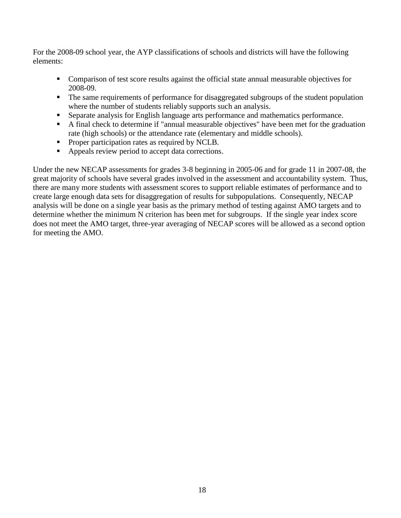For the 2008-09 school year, the AYP classifications of schools and districts will have the following elements:

- Comparison of test score results against the official state annual measurable objectives for 2008-09.
- The same requirements of performance for disaggregated subgroups of the student population where the number of students reliably supports such an analysis.
- Separate analysis for English language arts performance and mathematics performance.
- A final check to determine if "annual measurable objectives" have been met for the graduation rate (high schools) or the attendance rate (elementary and middle schools).
- Proper participation rates as required by NCLB.
- Appeals review period to accept data corrections.

Under the new NECAP assessments for grades 3-8 beginning in 2005-06 and for grade 11 in 2007-08, the great majority of schools have several grades involved in the assessment and accountability system. Thus, there are many more students with assessment scores to support reliable estimates of performance and to create large enough data sets for disaggregation of results for subpopulations. Consequently, NECAP analysis will be done on a single year basis as the primary method of testing against AMO targets and to determine whether the minimum N criterion has been met for subgroups. If the single year index score does not meet the AMO target, three-year averaging of NECAP scores will be allowed as a second option for meeting the AMO.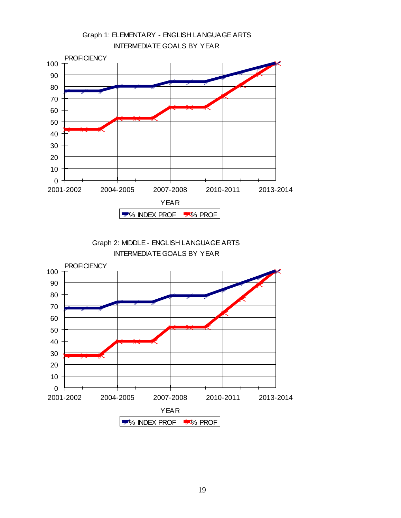

Graph 2: MIDDLE - ENGLISH LANGUAGE ARTS INTERMEDIATE GOALS BY YEAR

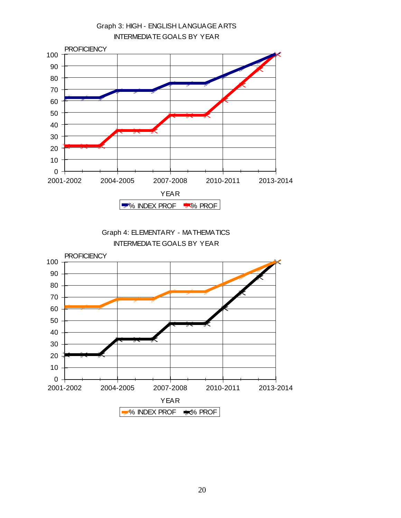

Graph 4: ELEMENTARY - MATHEMATICS INTERMEDIATE GOALS BY YEAR

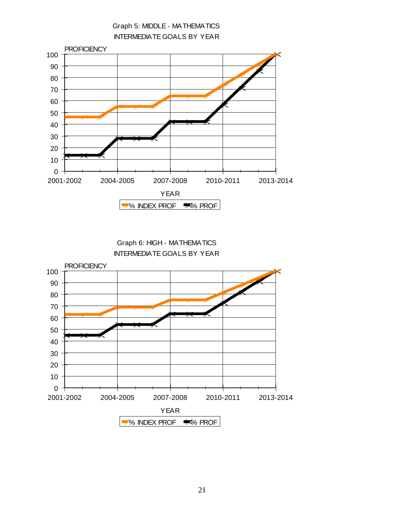

Graph 6: HIGH - MATHEMATICS INTERMEDIATE GOALS BY YEAR

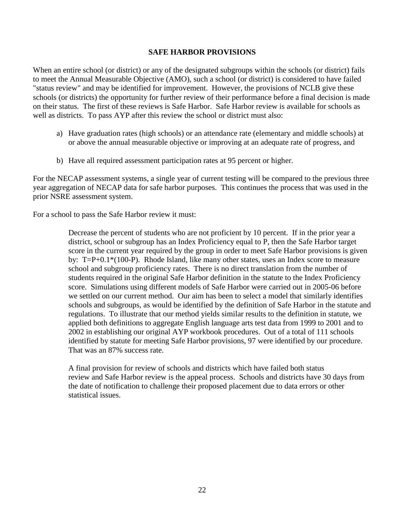#### **SAFE HARBOR PROVISIONS**

When an entire school (or district) or any of the designated subgroups within the schools (or district) fails to meet the Annual Measurable Objective (AMO), such a school (or district) is considered to have failed "status review" and may be identified for improvement. However, the provisions of NCLB give these schools (or districts) the opportunity for further review of their performance before a final decision is made on their status. The first of these reviews is Safe Harbor. Safe Harbor review is available for schools as well as districts. To pass AYP after this review the school or district must also:

- a) Have graduation rates (high schools) or an attendance rate (elementary and middle schools) at or above the annual measurable objective or improving at an adequate rate of progress, and
- b) Have all required assessment participation rates at 95 percent or higher.

For the NECAP assessment systems, a single year of current testing will be compared to the previous three year aggregation of NECAP data for safe harbor purposes. This continues the process that was used in the prior NSRE assessment system.

For a school to pass the Safe Harbor review it must:

Decrease the percent of students who are not proficient by 10 percent. If in the prior year a district, school or subgroup has an Index Proficiency equal to P, then the Safe Harbor target score in the current year required by the group in order to meet Safe Harbor provisions is given by: T=P+0.1\*(100-P). Rhode Island, like many other states, uses an Index score to measure school and subgroup proficiency rates. There is no direct translation from the number of students required in the original Safe Harbor definition in the statute to the Index Proficiency score. Simulations using different models of Safe Harbor were carried out in 2005-06 before we settled on our current method. Our aim has been to select a model that similarly identifies schools and subgroups, as would be identified by the definition of Safe Harbor in the statute and regulations. To illustrate that our method yields similar results to the definition in statute, we applied both definitions to aggregate English language arts test data from 1999 to 2001 and to 2002 in establishing our original AYP workbook procedures. Out of a total of 111 schools identified by statute for meeting Safe Harbor provisions, 97 were identified by our procedure. That was an 87% success rate.

A final provision for review of schools and districts which have failed both status review and Safe Harbor review is the appeal process. Schools and districts have 30 days from the date of notification to challenge their proposed placement due to data errors or other statistical issues.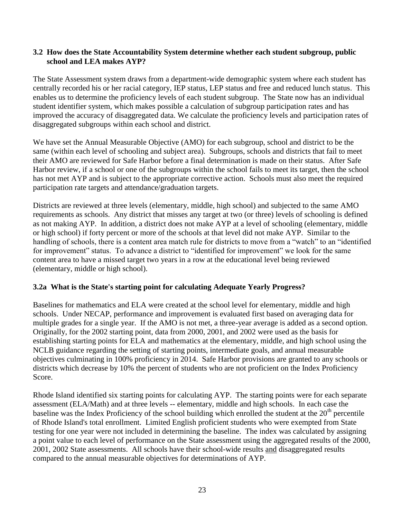### **3.2 How does the State Accountability System determine whether each student subgroup, public school and LEA makes AYP?**

The State Assessment system draws from a department-wide demographic system where each student has centrally recorded his or her racial category, IEP status, LEP status and free and reduced lunch status. This enables us to determine the proficiency levels of each student subgroup. The State now has an individual student identifier system, which makes possible a calculation of subgroup participation rates and has improved the accuracy of disaggregated data. We calculate the proficiency levels and participation rates of disaggregated subgroups within each school and district.

We have set the Annual Measurable Objective (AMO) for each subgroup, school and district to be the same (within each level of schooling and subject area). Subgroups, schools and districts that fail to meet their AMO are reviewed for Safe Harbor before a final determination is made on their status. After Safe Harbor review, if a school or one of the subgroups within the school fails to meet its target, then the school has not met AYP and is subject to the appropriate corrective action. Schools must also meet the required participation rate targets and attendance/graduation targets.

Districts are reviewed at three levels (elementary, middle, high school) and subjected to the same AMO requirements as schools. Any district that misses any target at two (or three) levels of schooling is defined as not making AYP. In addition, a district does not make AYP at a level of schooling (elementary, middle or high school) if forty percent or more of the schools at that level did not make AYP. Similar to the handling of schools, there is a content area match rule for districts to move from a "watch" to an "identified for improvement" status. To advance a district to "identified for improvement" we look for the same content area to have a missed target two years in a row at the educational level being reviewed (elementary, middle or high school).

## **3.2a What is the State's starting point for calculating Adequate Yearly Progress?**

Baselines for mathematics and ELA were created at the school level for elementary, middle and high schools. Under NECAP, performance and improvement is evaluated first based on averaging data for multiple grades for a single year. If the AMO is not met, a three-year average is added as a second option. Originally, for the 2002 starting point, data from 2000, 2001, and 2002 were used as the basis for establishing starting points for ELA and mathematics at the elementary, middle, and high school using the NCLB guidance regarding the setting of starting points, intermediate goals, and annual measurable objectives culminating in 100% proficiency in 2014. Safe Harbor provisions are granted to any schools or districts which decrease by 10% the percent of students who are not proficient on the Index Proficiency Score.

Rhode Island identified six starting points for calculating AYP. The starting points were for each separate assessment (ELA/Math) and at three levels -- elementary, middle and high schools. In each case the baseline was the Index Proficiency of the school building which enrolled the student at the  $20<sup>th</sup>$  percentile of Rhode Island's total enrollment. Limited English proficient students who were exempted from State testing for one year were not included in determining the baseline. The index was calculated by assigning a point value to each level of performance on the State assessment using the aggregated results of the 2000, 2001, 2002 State assessments. All schools have their school-wide results and disaggregated results compared to the annual measurable objectives for determinations of AYP.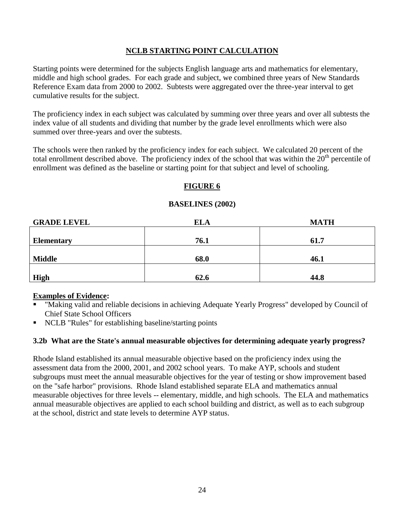## **NCLB STARTING POINT CALCULATION**

Starting points were determined for the subjects English language arts and mathematics for elementary, middle and high school grades. For each grade and subject, we combined three years of New Standards Reference Exam data from 2000 to 2002. Subtests were aggregated over the three-year interval to get cumulative results for the subject.

The proficiency index in each subject was calculated by summing over three years and over all subtests the index value of all students and dividing that number by the grade level enrollments which were also summed over three-years and over the subtests.

The schools were then ranked by the proficiency index for each subject. We calculated 20 percent of the total enrollment described above. The proficiency index of the school that was within the  $20<sup>th</sup>$  percentile of enrollment was defined as the baseline or starting point for that subject and level of schooling.

## **FIGURE 6**

### **BASELINES (2002)**

| <b>GRADE LEVEL</b> | <b>ELA</b> | <b>MATH</b> |
|--------------------|------------|-------------|
|                    |            |             |
| <b>Elementary</b>  | 76.1       | 61.7        |
|                    |            |             |
| <b>Middle</b>      | 68.0       | 46.1        |
|                    |            |             |
| <b>High</b>        | 62.6       | 44.8        |

#### **Examples of Evidence:**

- "Making valid and reliable decisions in achieving Adequate Yearly Progress" developed by Council of Chief State School Officers
- NCLB "Rules" for establishing baseline/starting points

## **3.2b What are the State's annual measurable objectives for determining adequate yearly progress?**

Rhode Island established its annual measurable objective based on the proficiency index using the assessment data from the 2000, 2001, and 2002 school years. To make AYP, schools and student subgroups must meet the annual measurable objectives for the year of testing or show improvement based on the "safe harbor" provisions. Rhode Island established separate ELA and mathematics annual measurable objectives for three levels -- elementary, middle, and high schools. The ELA and mathematics annual measurable objectives are applied to each school building and district, as well as to each subgroup at the school, district and state levels to determine AYP status.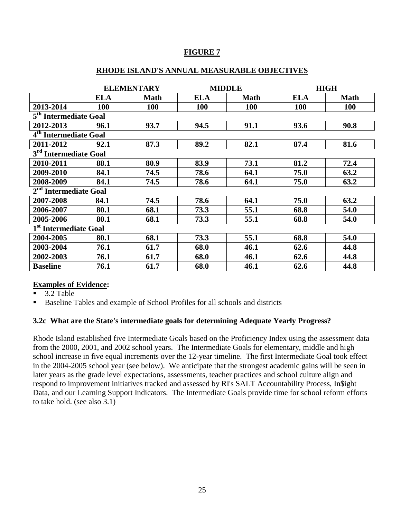## **FIGURE 7**

#### **RHODE ISLAND'S ANNUAL MEASURABLE OBJECTIVES**

|                                   | <b>ELEMENTARY</b> |             | <b>MIDDLE</b> |             |            | <b>HIGH</b> |  |
|-----------------------------------|-------------------|-------------|---------------|-------------|------------|-------------|--|
|                                   | <b>ELA</b>        | <b>Math</b> | <b>ELA</b>    | <b>Math</b> | <b>ELA</b> | <b>Math</b> |  |
| 2013-2014                         | <b>100</b>        | <b>100</b>  | <b>100</b>    | <b>100</b>  | <b>100</b> | <b>100</b>  |  |
| 5 <sup>th</sup> Intermediate Goal |                   |             |               |             |            |             |  |
| 2012-2013                         | 96.1              | 93.7        | 94.5          | 91.1        | 93.6       | 90.8        |  |
| 4 <sup>th</sup> Intermediate Goal |                   |             |               |             |            |             |  |
| 2011-2012                         | 92.1              | 87.3        | 89.2          | 82.1        | 87.4       | 81.6        |  |
| 3 <sup>rd</sup> Intermediate Goal |                   |             |               |             |            |             |  |
| 2010-2011                         | 88.1              | 80.9        | 83.9          | 73.1        | 81.2       | 72.4        |  |
| 2009-2010                         | 84.1              | 74.5        | 78.6          | 64.1        | 75.0       | 63.2        |  |
| 2008-2009                         | 84.1              | 74.5        | 78.6          | 64.1        | 75.0       | 63.2        |  |
| 2 <sup>nd</sup> Intermediate Goal |                   |             |               |             |            |             |  |
| 2007-2008                         | 84.1              | 74.5        | 78.6          | 64.1        | 75.0       | 63.2        |  |
| 2006-2007                         | 80.1              | 68.1        | 73.3          | 55.1        | 68.8       | 54.0        |  |
| 2005-2006                         | 80.1              | 68.1        | 73.3          | 55.1        | 68.8       | 54.0        |  |
| 1 <sup>st</sup> Intermediate Goal |                   |             |               |             |            |             |  |
| 2004-2005                         | 80.1              | 68.1        | 73.3          | 55.1        | 68.8       | 54.0        |  |
| 2003-2004                         | 76.1              | 61.7        | 68.0          | 46.1        | 62.6       | 44.8        |  |
| 2002-2003                         | 76.1              | 61.7        | 68.0          | 46.1        | 62.6       | 44.8        |  |
| <b>Baseline</b>                   | 76.1              | 61.7        | 68.0          | 46.1        | 62.6       | 44.8        |  |

## **Examples of Evidence:**

3.2 Table

Baseline Tables and example of School Profiles for all schools and districts

#### **3.2c What are the State's intermediate goals for determining Adequate Yearly Progress?**

Rhode Island established five Intermediate Goals based on the Proficiency Index using the assessment data from the 2000, 2001, and 2002 school years. The Intermediate Goals for elementary, middle and high school increase in five equal increments over the 12-year timeline. The first Intermediate Goal took effect in the 2004-2005 school year (see below). We anticipate that the strongest academic gains will be seen in later years as the grade level expectations, assessments, teacher practices and school culture align and respond to improvement initiatives tracked and assessed by RI's SALT Accountability Process, In\$ight Data, and our Learning Support Indicators. The Intermediate Goals provide time for school reform efforts to take hold. (see also 3.1)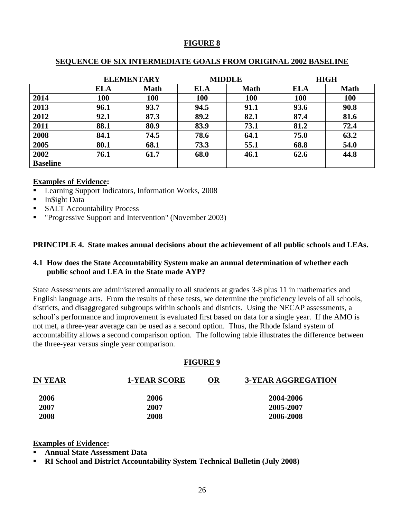## **FIGURE 8**

## **SEQUENCE OF SIX INTERMEDIATE GOALS FROM ORIGINAL 2002 BASELINE**

| <b>ELEMENTARY</b> |            |             |            | <b>MIDDLE</b> | <b>HIGH</b> |             |
|-------------------|------------|-------------|------------|---------------|-------------|-------------|
|                   | <b>ELA</b> | <b>Math</b> | <b>ELA</b> | <b>Math</b>   | <b>ELA</b>  | <b>Math</b> |
| 2014              | 100        | 100         | 100        | 100           | 100         | 100         |
| 2013              | 96.1       | 93.7        | 94.5       | 91.1          | 93.6        | 90.8        |
| 2012              | 92.1       | 87.3        | 89.2       | 82.1          | 87.4        | 81.6        |
| 2011              | 88.1       | 80.9        | 83.9       | 73.1          | 81.2        | 72.4        |
| 2008              | 84.1       | 74.5        | 78.6       | 64.1          | 75.0        | 63.2        |
| 2005              | 80.1       | 68.1        | 73.3       | 55.1          | 68.8        | 54.0        |
| 2002              | 76.1       | 61.7        | 68.0       | 46.1          | 62.6        | 44.8        |
| <b>Baseline</b>   |            |             |            |               |             |             |

#### **Examples of Evidence:**

- Learning Support Indicators, Information Works, 2008
- **In** Sight Data
- SALT Accountability Process
- **•** "Progressive Support and Intervention" (November 2003)

#### **PRINCIPLE 4. State makes annual decisions about the achievement of all public schools and LEAs.**

#### **4.1 How does the State Accountability System make an annual determination of whether each public school and LEA in the State made AYP?**

State Assessments are administered annually to all students at grades 3-8 plus 11 in mathematics and English language arts. From the results of these tests, we determine the proficiency levels of all schools, districts, and disaggregated subgroups within schools and districts. Using the NECAP assessments, a school's performance and improvement is evaluated first based on data for a single year. If the AMO is not met, a three-year average can be used as a second option. Thus, the Rhode Island system of accountability allows a second comparison option. The following table illustrates the difference between the three-year versus single year comparison.

#### **FIGURE 9**

| <b>IN YEAR</b> | <b>1-YEAR SCORE</b> | <b>OR</b> | <b>3-YEAR AGGREGATION</b> |
|----------------|---------------------|-----------|---------------------------|
| 2006           | 2006                |           | 2004-2006                 |
| 2007           | 2007                |           | 2005-2007                 |
| 2008           | 2008                |           | 2006-2008                 |

**Examples of Evidence:**

- **Annual State Assessment Data**
- **RI School and District Accountability System Technical Bulletin (July 2008)**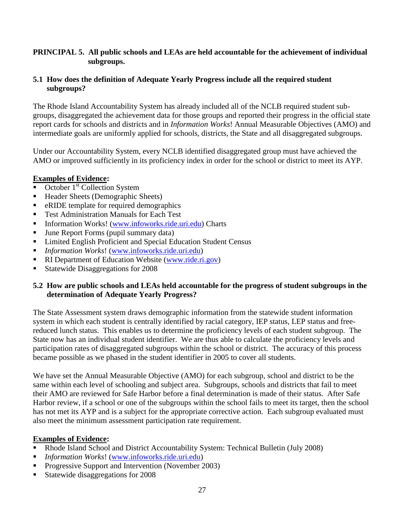## **PRINCIPAL 5. All public schools and LEAs are held accountable for the achievement of individual subgroups.**

## **5.1 How does the definition of Adequate Yearly Progress include all the required student subgroups?**

The Rhode Island Accountability System has already included all of the NCLB required student subgroups, disaggregated the achievement data for those groups and reported their progress in the official state report cards for schools and districts and in *Information Works*! Annual Measurable Objectives (AMO) and intermediate goals are uniformly applied for schools, districts, the State and all disaggregated subgroups.

Under our Accountability System, every NCLB identified disaggregated group must have achieved the AMO or improved sufficiently in its proficiency index in order for the school or district to meet its AYP.

## **Examples of Evidence:**

- October 1<sup>st</sup> Collection System
- Header Sheets (Demographic Sheets)
- eRIDE template for required demographics
- Test Administration Manuals for Each Test
- Information Works! [\(www.infoworks.ride.uri.edu\)](http://www.infoworks.ride.uri.edu/) Charts
- June Report Forms (pupil summary data)
- Limited English Proficient and Special Education Student Census
- *Information Works*! [\(www.infoworks.ride.uri.edu\)](http://www.infoworks.ride.uri.edu/)
- RI Department of Education Website [\(www.ride.ri.gov\)](http://www.ride.ri.gov/)
- Statewide Disaggregations for 2008

## **5.2 How are public schools and LEAs held accountable for the progress of student subgroups in the determination of Adequate Yearly Progress?**

The State Assessment system draws demographic information from the statewide student information system in which each student is centrally identified by racial category, IEP status, LEP status and freereduced lunch status. This enables us to determine the proficiency levels of each student subgroup. The State now has an individual student identifier. We are thus able to calculate the proficiency levels and participation rates of disaggregated subgroups within the school or district. The accuracy of this process became possible as we phased in the student identifier in 2005 to cover all students.

We have set the Annual Measurable Objective (AMO) for each subgroup, school and district to be the same within each level of schooling and subject area. Subgroups, schools and districts that fail to meet their AMO are reviewed for Safe Harbor before a final determination is made of their status. After Safe Harbor review, if a school or one of the subgroups within the school fails to meet its target, then the school has not met its AYP and is a subject for the appropriate corrective action. Each subgroup evaluated must also meet the minimum assessment participation rate requirement.

# **Examples of Evidence:**

- Rhode Island School and District Accountability System: Technical Bulletin (July 2008)
- *Information Works*! [\(www.infoworks.ride.uri.edu\)](http://www.infoworks.ride.uri.edu/)
- Progressive Support and Intervention (November 2003)
- Statewide disaggregations for 2008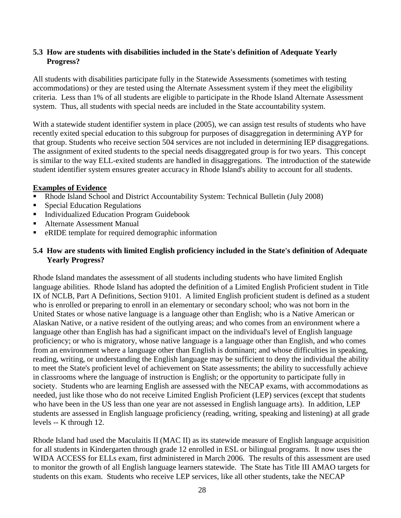## **5.3 How are students with disabilities included in the State's definition of Adequate Yearly Progress?**

All students with disabilities participate fully in the Statewide Assessments (sometimes with testing accommodations) or they are tested using the Alternate Assessment system if they meet the eligibility criteria. Less than 1% of all students are eligible to participate in the Rhode Island Alternate Assessment system. Thus, all students with special needs are included in the State accountability system.

With a statewide student identifier system in place (2005), we can assign test results of students who have recently exited special education to this subgroup for purposes of disaggregation in determining AYP for that group. Students who receive section 504 services are not included in determining IEP disaggregations. The assignment of exited students to the special needs disaggregated group is for two years. This concept is similar to the way ELL-exited students are handled in disaggregations. The introduction of the statewide student identifier system ensures greater accuracy in Rhode Island's ability to account for all students.

### **Examples of Evidence**

- Rhode Island School and District Accountability System: Technical Bulletin (July 2008)
- Special Education Regulations
- Individualized Education Program Guidebook
- Alternate Assessment Manual
- eRIDE template for required demographic information

## **5.4 How are students with limited English proficiency included in the State's definition of Adequate Yearly Progress?**

Rhode Island mandates the assessment of all students including students who have limited English language abilities. Rhode Island has adopted the definition of a Limited English Proficient student in Title IX of NCLB, Part A Definitions, Section 9101. A limited English proficient student is defined as a student who is enrolled or preparing to enroll in an elementary or secondary school; who was not born in the United States or whose native language is a language other than English; who is a Native American or Alaskan Native, or a native resident of the outlying areas; and who comes from an environment where a language other than English has had a significant impact on the individual's level of English language proficiency; or who is migratory, whose native language is a language other than English, and who comes from an environment where a language other than English is dominant; and whose difficulties in speaking, reading, writing, or understanding the English language may be sufficient to deny the individual the ability to meet the State's proficient level of achievement on State assessments; the ability to successfully achieve in classrooms where the language of instruction is English; or the opportunity to participate fully in society. Students who are learning English are assessed with the NECAP exams, with accommodations as needed, just like those who do not receive Limited English Proficient (LEP) services (except that students who have been in the US less than one year are not assessed in English language arts). In addition, LEP students are assessed in English language proficiency (reading, writing, speaking and listening) at all grade levels -- K through 12.

Rhode Island had used the Maculaitis II (MAC II) as its statewide measure of English language acquisition for all students in Kindergarten through grade 12 enrolled in ESL or bilingual programs. It now uses the WIDA ACCESS for ELLs exam, first administered in March 2006. The results of this assessment are used to monitor the growth of all English language learners statewide. The State has Title III AMAO targets for students on this exam. Students who receive LEP services, like all other students, take the NECAP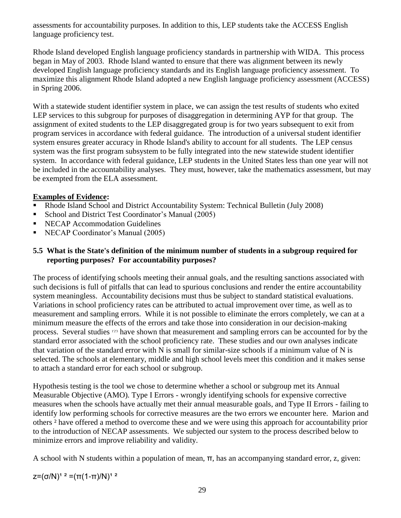assessments for accountability purposes. In addition to this, LEP students take the ACCESS English language proficiency test.

Rhode Island developed English language proficiency standards in partnership with WIDA. This process began in May of 2003. Rhode Island wanted to ensure that there was alignment between its newly developed English language proficiency standards and its English language proficiency assessment. To maximize this alignment Rhode Island adopted a new English language proficiency assessment (ACCESS) in Spring 2006.

With a statewide student identifier system in place, we can assign the test results of students who exited LEP services to this subgroup for purposes of disaggregation in determining AYP for that group. The assignment of exited students to the LEP disaggregated group is for two years subsequent to exit from program services in accordance with federal guidance. The introduction of a universal student identifier system ensures greater accuracy in Rhode Island's ability to account for all students. The LEP census system was the first program subsystem to be fully integrated into the new statewide student identifier system. In accordance with federal guidance, LEP students in the United States less than one year will not be included in the accountability analyses. They must, however, take the mathematics assessment, but may be exempted from the ELA assessment.

# **Examples of Evidence:**

- Rhode Island School and District Accountability System: Technical Bulletin (July 2008)
- School and District Test Coordinator's Manual (2005)
- **NECAP Accommodation Guidelines**
- NECAP Coordinator's Manual (2005)

## **5.5 What is the State's definition of the minimum number of students in a subgroup required for reporting purposes? For accountability purposes?**

The process of identifying schools meeting their annual goals, and the resulting sanctions associated with such decisions is full of pitfalls that can lead to spurious conclusions and render the entire accountability system meaningless. Accountability decisions must thus be subject to standard statistical evaluations. Variations in school proficiency rates can be attributed to actual improvement over time, as well as to measurement and sampling errors. While it is not possible to eliminate the errors completely, we can at a minimum measure the effects of the errors and take those into consideration in our decision-making process. Several studies 1'2'3 have shown that measurement and sampling errors can be accounted for by the standard error associated with the school proficiency rate. These studies and our own analyses indicate that variation of the standard error with N is small for similar-size schools if a minimum value of N is selected. The schools at elementary, middle and high school levels meet this condition and it makes sense to attach a standard error for each school or subgroup.

Hypothesis testing is the tool we chose to determine whether a school or subgroup met its Annual Measurable Objective (AMO). Type I Errors - wrongly identifying schools for expensive corrective measures when the schools have actually met their annual measurable goals, and Type II Errors - failing to identify low performing schools for corrective measures are the two errors we encounter here. Marion and others ² have offered a method to overcome these and we were using this approach for accountability prior to the introduction of NECAP assessments. We subjected our system to the process described below to minimize errors and improve reliability and validity.

A school with N students within a population of mean, π, has an accompanying standard error, z, given:

 $z=(σ/N)<sup>1</sup>$ <sup>2</sup> =(π(1-π)/N)<sup>1</sup><sup>2</sup>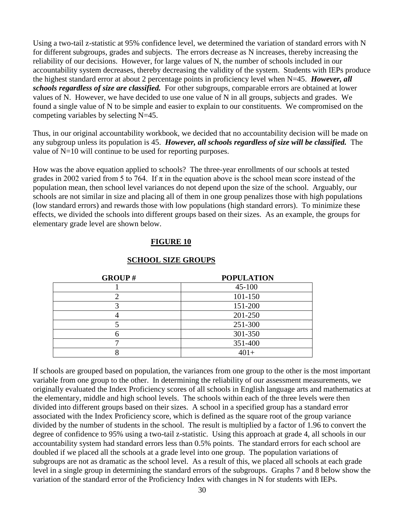Using a two-tail z-statistic at 95% confidence level, we determined the variation of standard errors with N for different subgroups, grades and subjects. The errors decrease as N increases, thereby increasing the reliability of our decisions. However, for large values of N, the number of schools included in our accountability system decreases, thereby decreasing the validity of the system. Students with IEPs produce the highest standard error at about 2 percentage points in proficiency level when N=45. *However, all schools regardless of size are classified.* For other subgroups, comparable errors are obtained at lower values of N. However, we have decided to use one value of N in all groups, subjects and grades. We found a single value of N to be simple and easier to explain to our constituents. We compromised on the competing variables by selecting N=45.

Thus, in our original accountability workbook, we decided that no accountability decision will be made on any subgroup unless its population is 45. *However, all schools regardless of size will be classified.* The value of N=10 will continue to be used for reporting purposes.

How was the above equation applied to schools? The three-year enrollments of our schools at tested grades in 2002 varied from 5 to 764. If  $\pi$  in the equation above is the school mean score instead of the population mean, then school level variances do not depend upon the size of the school. Arguably, our schools are not similar in size and placing all of them in one group penalizes those with high populations (low standard errors) and rewards those with low populations (high standard errors). To minimize these effects, we divided the schools into different groups based on their sizes. As an example, the groups for elementary grade level are shown below.

### **FIGURE 10**

| <b>GROUP#</b> | <b>POPULATION</b> |
|---------------|-------------------|
|               | $45 - 100$        |
|               | 101-150           |
|               | 151-200           |
|               | 201-250           |
|               | 251-300           |
|               | 301-350           |
|               | 351-400           |
|               | $401+$            |

## **SCHOOL SIZE GROUPS**

If schools are grouped based on population, the variances from one group to the other is the most important variable from one group to the other. In determining the reliability of our assessment measurements, we originally evaluated the Index Proficiency scores of all schools in English language arts and mathematics at the elementary, middle and high school levels. The schools within each of the three levels were then divided into different groups based on their sizes. A school in a specified group has a standard error associated with the Index Proficiency score, which is defined as the square root of the group variance divided by the number of students in the school. The result is multiplied by a factor of 1.96 to convert the degree of confidence to 95% using a two-tail z-statistic. Using this approach at grade 4, all schools in our accountability system had standard errors less than 0.5% points. The standard errors for each school are doubled if we placed all the schools at a grade level into one group. The population variations of subgroups are not as dramatic as the school level. As a result of this, we placed all schools at each grade level in a single group in determining the standard errors of the subgroups. Graphs 7 and 8 below show the variation of the standard error of the Proficiency Index with changes in N for students with IEPs.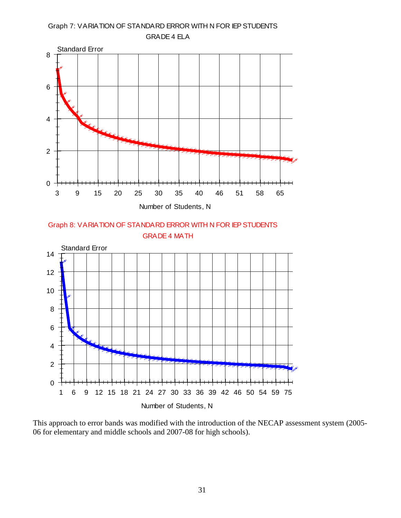

This approach to error bands was modified with the introduction of the NECAP assessment system (2005- 06 for elementary and middle schools and 2007-08 for high schools).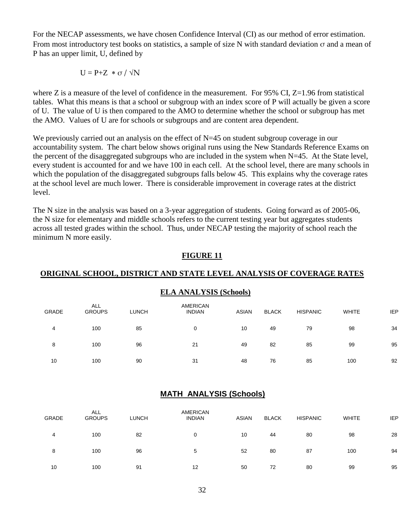For the NECAP assessments, we have chosen Confidence Interval (CI) as our method of error estimation. From most introductory test books on statistics, a sample of size N with standard deviation  $\sigma$  and a mean of P has an upper limit, U, defined by

$$
U=P{+}Z\text{ }*\text{\ }\sigma\text{ }/\text{\ }\sqrt{N}
$$

where Z is a measure of the level of confidence in the measurement. For  $95\%$  CI, Z=1.96 from statistical tables. What this means is that a school or subgroup with an index score of P will actually be given a score of U. The value of U is then compared to the AMO to determine whether the school or subgroup has met the AMO. Values of U are for schools or subgroups and are content area dependent.

We previously carried out an analysis on the effect of  $N=45$  on student subgroup coverage in our accountability system. The chart below shows original runs using the New Standards Reference Exams on the percent of the disaggregated subgroups who are included in the system when N=45. At the State level, every student is accounted for and we have 100 in each cell. At the school level, there are many schools in which the population of the disaggregated subgroups falls below 45. This explains why the coverage rates at the school level are much lower. There is considerable improvement in coverage rates at the district level.

The N size in the analysis was based on a 3-year aggregation of students. Going forward as of 2005-06, the N size for elementary and middle schools refers to the current testing year but aggregates students across all tested grades within the school. Thus, under NECAP testing the majority of school reach the minimum N more easily.

#### **FIGURE 11**

## **ORIGINAL SCHOOL, DISTRICT AND STATE LEVEL ANALYSIS OF COVERAGE RATES**

# **ELA ANALYSIS (Schools)**

| GRADE | <b>ALL</b><br><b>GROUPS</b> | <b>LUNCH</b> | AMERICAN<br><b>INDIAN</b> | <b>ASIAN</b> | <b>BLACK</b> | <b>HISPANIC</b> | <b>WHITE</b> | <b>IEP</b> |
|-------|-----------------------------|--------------|---------------------------|--------------|--------------|-----------------|--------------|------------|
| 4     | 100                         | 85           | 0                         | 10           | 49           | 79              | 98           | 34         |
| 8     | 100                         | 96           | 21                        | 49           | 82           | 85              | 99           | 95         |
| 10    | 100                         | 90           | 31                        | 48           | 76           | 85              | 100          | 92         |

# **MATH ANALYSIS (Schools)**

| GRADE | <b>ALL</b><br><b>GROUPS</b> | <b>LUNCH</b> | AMERICAN<br><b>INDIAN</b> | ASIAN | <b>BLACK</b> | <b>HISPANIC</b> | <b>WHITE</b> | <b>IEP</b> |
|-------|-----------------------------|--------------|---------------------------|-------|--------------|-----------------|--------------|------------|
| 4     | 100                         | 82           | 0                         | 10    | 44           | 80              | 98           | 28         |
| 8     | 100                         | 96           | 5                         | 52    | 80           | 87              | 100          | 94         |
| 10    | 100                         | 91           | 12                        | 50    | 72           | 80              | 99           | 95         |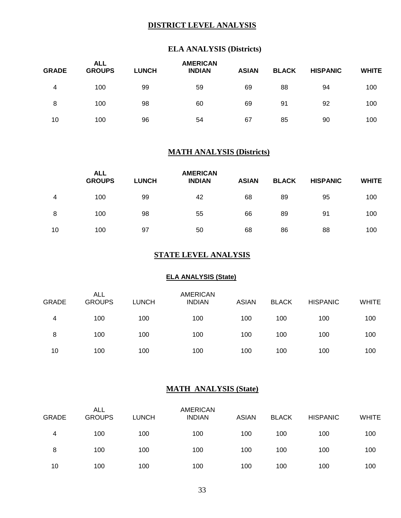## **DISTRICT LEVEL ANALYSIS**

## **ELA ANALYSIS (Districts)**

| <b>GRADE</b> | <b>ALL</b><br><b>GROUPS</b> | <b>LUNCH</b> | <b>AMERICAN</b><br><b>INDIAN</b> | <b>ASIAN</b> | <b>BLACK</b> | <b>HISPANIC</b> | <b>WHITE</b> |
|--------------|-----------------------------|--------------|----------------------------------|--------------|--------------|-----------------|--------------|
| 4            | 100                         | 99           | 59                               | 69           | 88           | 94              | 100          |
| 8            | 100                         | 98           | 60                               | 69           | 91           | 92              | 100          |
| 10           | 100                         | 96           | 54                               | 67           | 85           | 90              | 100          |

## **MATH ANALYSIS (Districts)**

|    | <b>ALL</b><br><b>GROUPS</b> | <b>LUNCH</b> | <b>AMERICAN</b><br><b>INDIAN</b> | <b>ASIAN</b> | <b>BLACK</b> | <b>HISPANIC</b> | <b>WHITE</b> |
|----|-----------------------------|--------------|----------------------------------|--------------|--------------|-----------------|--------------|
| 4  | 100                         | 99           | 42                               | 68           | 89           | 95              | 100          |
| 8  | 100                         | 98           | 55                               | 66           | 89           | 91              | 100          |
| 10 | 100                         | 97           | 50                               | 68           | 86           | 88              | 100          |

### **STATE LEVEL ANALYSIS**

#### **ELA ANALYSIS (State)**

| <b>GRADE</b> | <b>ALL</b><br><b>GROUPS</b> | <b>LUNCH</b> | <b>AMERICAN</b><br><b>INDIAN</b> | <b>ASIAN</b> | <b>BLACK</b> | <b>HISPANIC</b> | <b>WHITE</b> |
|--------------|-----------------------------|--------------|----------------------------------|--------------|--------------|-----------------|--------------|
| 4            | 100                         | 100          | 100                              | 100          | 100          | 100             | 100          |
| 8            | 100                         | 100          | 100                              | 100          | 100          | 100             | 100          |
| 10           | 100                         | 100          | 100                              | 100          | 100          | 100             | 100          |

### **MATH ANALYSIS (State)**

| <b>GRADE</b> | <b>ALL</b><br><b>GROUPS</b> | <b>LUNCH</b> | <b>AMERICAN</b><br><b>INDIAN</b> | <b>ASIAN</b> | <b>BLACK</b> | <b>HISPANIC</b> | <b>WHITE</b> |
|--------------|-----------------------------|--------------|----------------------------------|--------------|--------------|-----------------|--------------|
| 4            | 100                         | 100          | 100                              | 100          | 100          | 100             | 100          |
| 8            | 100                         | 100          | 100                              | 100          | 100          | 100             | 100          |
| 10           | 100                         | 100          | 100                              | 100          | 100          | 100             | 100          |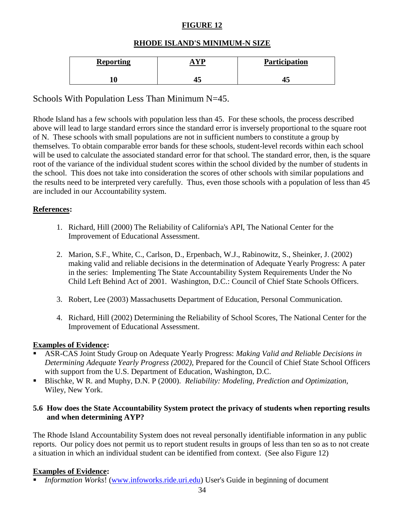# **FIGURE 12**

# **RHODE ISLAND'S MINIMUM-N SIZE**

| <b>Reporting</b> |    | Participation |
|------------------|----|---------------|
|                  | 70 |               |

# Schools With Population Less Than Minimum N=45.

Rhode Island has a few schools with population less than 45. For these schools, the process described above will lead to large standard errors since the standard error is inversely proportional to the square root of N. These schools with small populations are not in sufficient numbers to constitute a group by themselves. To obtain comparable error bands for these schools, student-level records within each school will be used to calculate the associated standard error for that school. The standard error, then, is the square root of the variance of the individual student scores within the school divided by the number of students in the school. This does not take into consideration the scores of other schools with similar populations and the results need to be interpreted very carefully. Thus, even those schools with a population of less than 45 are included in our Accountability system.

## **References:**

- 1. Richard, Hill (2000) The Reliability of California's API, The National Center for the Improvement of Educational Assessment.
- 2. Marion, S.F., White, C., Carlson, D., Erpenbach, W.J., Rabinowitz, S., Sheinker, J. (2002) making valid and reliable decisions in the determination of Adequate Yearly Progress: A pater in the series: Implementing The State Accountability System Requirements Under the No Child Left Behind Act of 2001. Washington, D.C.: Council of Chief State Schools Officers.
- 3. Robert, Lee (2003) Massachusetts Department of Education, Personal Communication.
- 4. Richard, Hill (2002) Determining the Reliability of School Scores, The National Center for the Improvement of Educational Assessment.

## **Examples of Evidence:**

- ASR-CAS Joint Study Group on Adequate Yearly Progress: *Making Valid and Reliable Decisions in Determining Adequate Yearly Progress (2002)*, Prepared for the Council of Chief State School Officers with support from the U.S. Department of Education, Washington, D.C.
- Blischke, W R. and Muphy, D.N. P (2000). *Reliability: Modeling, Prediction and Optimization,*  Wiley, New York.

### **5.6 How does the State Accountability System protect the privacy of students when reporting results and when determining AYP?**

The Rhode Island Accountability System does not reveal personally identifiable information in any public reports. Our policy does not permit us to report student results in groups of less than ten so as to not create a situation in which an individual student can be identified from context. (See also Figure 12)

## **Examples of Evidence:**

*Information Works*! [\(www.infoworks.ride.uri.edu\)](http://www.infoworks.ride.uri.edu/) User's Guide in beginning of document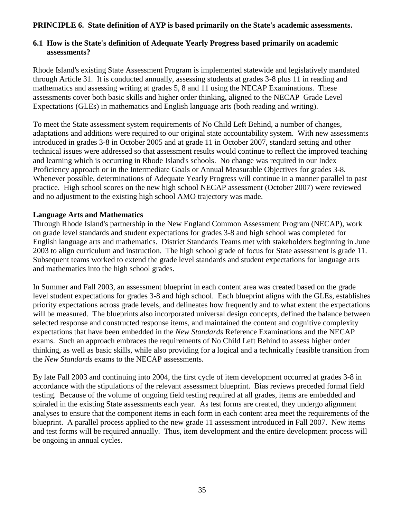## **PRINCIPLE 6. State definition of AYP is based primarily on the State's academic assessments.**

## **6.1 How is the State's definition of Adequate Yearly Progress based primarily on academic assessments?**

Rhode Island's existing State Assessment Program is implemented statewide and legislatively mandated through Article 31. It is conducted annually, assessing students at grades 3-8 plus 11 in reading and mathematics and assessing writing at grades 5, 8 and 11 using the NECAP Examinations. These assessments cover both basic skills and higher order thinking, aligned to the NECAP Grade Level Expectations (GLEs) in mathematics and English language arts (both reading and writing).

To meet the State assessment system requirements of No Child Left Behind, a number of changes, adaptations and additions were required to our original state accountability system. With new assessments introduced in grades 3-8 in October 2005 and at grade 11 in October 2007, standard setting and other technical issues were addressed so that assessment results would continue to reflect the improved teaching and learning which is occurring in Rhode Island's schools. No change was required in our Index Proficiency approach or in the Intermediate Goals or Annual Measurable Objectives for grades 3-8. Whenever possible, determinations of Adequate Yearly Progress will continue in a manner parallel to past practice. High school scores on the new high school NECAP assessment (October 2007) were reviewed and no adjustment to the existing high school AMO trajectory was made.

### **Language Arts and Mathematics**

Through Rhode Island's partnership in the New England Common Assessment Program (NECAP), work on grade level standards and student expectations for grades 3-8 and high school was completed for English language arts and mathematics. District Standards Teams met with stakeholders beginning in June 2003 to align curriculum and instruction. The high school grade of focus for State assessment is grade 11. Subsequent teams worked to extend the grade level standards and student expectations for language arts and mathematics into the high school grades.

In Summer and Fall 2003, an assessment blueprint in each content area was created based on the grade level student expectations for grades 3-8 and high school. Each blueprint aligns with the GLEs, establishes priority expectations across grade levels, and delineates how frequently and to what extent the expectations will be measured. The blueprints also incorporated universal design concepts, defined the balance between selected response and constructed response items, and maintained the content and cognitive complexity expectations that have been embedded in the *New Standards* Reference Examinations and the NECAP exams. Such an approach embraces the requirements of No Child Left Behind to assess higher order thinking, as well as basic skills, while also providing for a logical and a technically feasible transition from the *New Standards* exams to the NECAP assessments.

By late Fall 2003 and continuing into 2004, the first cycle of item development occurred at grades 3-8 in accordance with the stipulations of the relevant assessment blueprint. Bias reviews preceded formal field testing. Because of the volume of ongoing field testing required at all grades, items are embedded and spiraled in the existing State assessments each year. As test forms are created, they undergo alignment analyses to ensure that the component items in each form in each content area meet the requirements of the blueprint. A parallel process applied to the new grade 11 assessment introduced in Fall 2007. New items and test forms will be required annually. Thus, item development and the entire development process will be ongoing in annual cycles.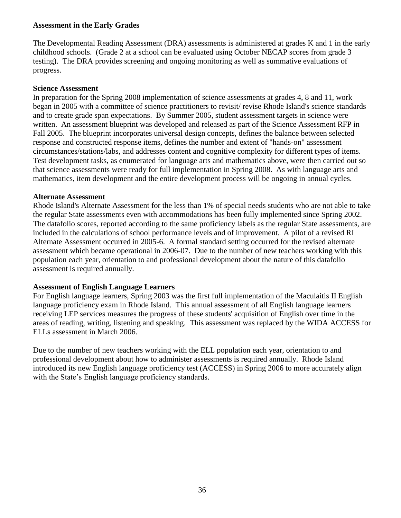#### **Assessment in the Early Grades**

The Developmental Reading Assessment (DRA) assessments is administered at grades K and 1 in the early childhood schools. (Grade 2 at a school can be evaluated using October NECAP scores from grade 3 testing). The DRA provides screening and ongoing monitoring as well as summative evaluations of progress.

#### **Science Assessment**

In preparation for the Spring 2008 implementation of science assessments at grades 4, 8 and 11, work began in 2005 with a committee of science practitioners to revisit/ revise Rhode Island's science standards and to create grade span expectations. By Summer 2005, student assessment targets in science were written. An assessment blueprint was developed and released as part of the Science Assessment RFP in Fall 2005. The blueprint incorporates universal design concepts, defines the balance between selected response and constructed response items, defines the number and extent of "hands-on" assessment circumstances/stations/labs, and addresses content and cognitive complexity for different types of items. Test development tasks, as enumerated for language arts and mathematics above, were then carried out so that science assessments were ready for full implementation in Spring 2008. As with language arts and mathematics, item development and the entire development process will be ongoing in annual cycles.

#### **Alternate Assessment**

Rhode Island's Alternate Assessment for the less than 1% of special needs students who are not able to take the regular State assessments even with accommodations has been fully implemented since Spring 2002. The datafolio scores, reported according to the same proficiency labels as the regular State assessments, are included in the calculations of school performance levels and of improvement. A pilot of a revised RI Alternate Assessment occurred in 2005-6. A formal standard setting occurred for the revised alternate assessment which became operational in 2006-07. Due to the number of new teachers working with this population each year, orientation to and professional development about the nature of this datafolio assessment is required annually.

## **Assessment of English Language Learners**

For English language learners, Spring 2003 was the first full implementation of the Maculaitis II English language proficiency exam in Rhode Island. This annual assessment of all English language learners receiving LEP services measures the progress of these students' acquisition of English over time in the areas of reading, writing, listening and speaking. This assessment was replaced by the WIDA ACCESS for ELLs assessment in March 2006.

Due to the number of new teachers working with the ELL population each year, orientation to and professional development about how to administer assessments is required annually. Rhode Island introduced its new English language proficiency test (ACCESS) in Spring 2006 to more accurately align with the State's English language proficiency standards.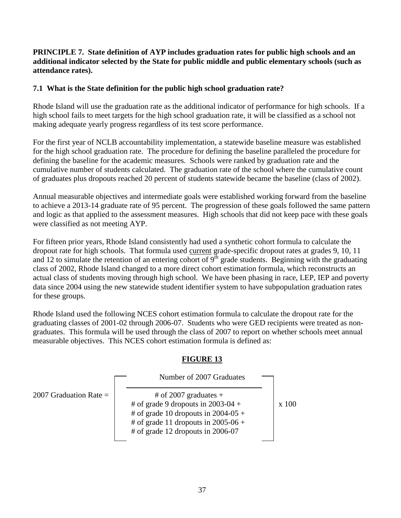## **PRINCIPLE 7. State definition of AYP includes graduation rates for public high schools and an additional indicator selected by the State for public middle and public elementary schools (such as attendance rates).**

## **7.1 What is the State definition for the public high school graduation rate?**

Rhode Island will use the graduation rate as the additional indicator of performance for high schools. If a high school fails to meet targets for the high school graduation rate, it will be classified as a school not making adequate yearly progress regardless of its test score performance.

For the first year of NCLB accountability implementation, a statewide baseline measure was established for the high school graduation rate. The procedure for defining the baseline paralleled the procedure for defining the baseline for the academic measures. Schools were ranked by graduation rate and the cumulative number of students calculated. The graduation rate of the school where the cumulative count of graduates plus dropouts reached 20 percent of students statewide became the baseline (class of 2002).

Annual measurable objectives and intermediate goals were established working forward from the baseline to achieve a 2013-14 graduate rate of 95 percent. The progression of these goals followed the same pattern and logic as that applied to the assessment measures. High schools that did not keep pace with these goals were classified as not meeting AYP.

For fifteen prior years, Rhode Island consistently had used a synthetic cohort formula to calculate the dropout rate for high schools. That formula used current grade-specific dropout rates at grades 9, 10, 11 and 12 to simulate the retention of an entering cohort of  $9<sup>th</sup>$  grade students. Beginning with the graduating class of 2002, Rhode Island changed to a more direct cohort estimation formula, which reconstructs an actual class of students moving through high school. We have been phasing in race, LEP, IEP and poverty data since 2004 using the new statewide student identifier system to have subpopulation graduation rates for these groups.

Rhode Island used the following NCES cohort estimation formula to calculate the dropout rate for the graduating classes of 2001-02 through 2006-07. Students who were GED recipients were treated as nongraduates. This formula will be used through the class of 2007 to report on whether schools meet annual measurable objectives. This NCES cohort estimation formula is defined as:

# **FIGURE 13**

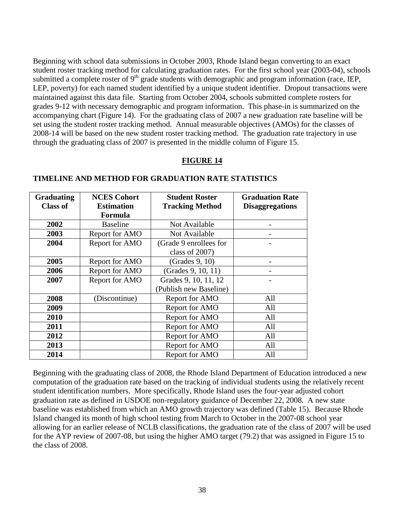Beginning with school data submissions in October 2003, Rhode Island began converting to an exact student roster tracking method for calculating graduation rates. For the first school year (2003-04), schools submitted a complete roster of 9<sup>th</sup> grade students with demographic and program information (race, IEP, LEP, poverty) for each named student identified by a unique student identifier. Dropout transactions were maintained against this data file. Starting from October 2004, schools submitted complete rosters for grades 9-12 with necessary demographic and program information. This phase-in is summarized on the accompanying chart (Figure 14). For the graduating class of 2007 a new graduation rate baseline will be set using the student roster tracking method. Annual measurable objectives (AMOs) for the classes of 2008-14 will be based on the new student roster tracking method. The graduation rate trajectory in use through the graduating class of 2007 is presented in the middle column of Figure 15.

### **FIGURE 14**

| <b>Graduating</b> | <b>NCES Cohort</b> | <b>Student Roster</b>  | <b>Graduation Rate</b> |
|-------------------|--------------------|------------------------|------------------------|
| <b>Class of</b>   | <b>Estimation</b>  | <b>Tracking Method</b> | <b>Disaggregations</b> |
|                   | <b>Formula</b>     |                        |                        |
| 2002              | <b>Baseline</b>    | Not Available          |                        |
| 2003              | Report for AMO     | Not Available          |                        |
| 2004              | Report for AMO     | (Grade 9 enrollees for |                        |
|                   |                    | class of 2007)         |                        |
| 2005              | Report for AMO     | (Grades 9, 10)         |                        |
| 2006              | Report for AMO     | (Grades 9, 10, 11)     |                        |
| 2007              | Report for AMO     | Grades 9, 10, 11, 12   |                        |
|                   |                    | (Publish new Baseline) |                        |
| 2008              | (Discontinue)      | Report for AMO         | All                    |
| 2009              |                    | Report for AMO         | All                    |
| 2010              |                    | Report for AMO         | All                    |
| 2011              |                    | Report for AMO         | All                    |
| 2012              |                    | Report for AMO         | All                    |
| 2013              |                    | Report for AMO         | All                    |
| 2014              |                    | Report for AMO         | All                    |

#### **TIMELINE AND METHOD FOR GRADUATION RATE STATISTICS**

Beginning with the graduating class of 2008, the Rhode Island Department of Education introduced a new computation of the graduation rate based on the tracking of individual students using the relatively recent student identification numbers. More specifically, Rhode Island uses the four-year adjusted cohort graduation rate as defined in USDOE non-regulatory guidance of December 22, 2008. A new state baseline was established from which an AMO growth trajectory was defined (Table 15). Because Rhode Island changed its month of high school testing from March to October in the 2007-08 school year allowing for an earlier release of NCLB classifications, the graduation rate of the class of 2007 will be used for the AYP review of 2007-08, but using the higher AMO target (79.2) that was assigned in Figure 15 to the class of 2008.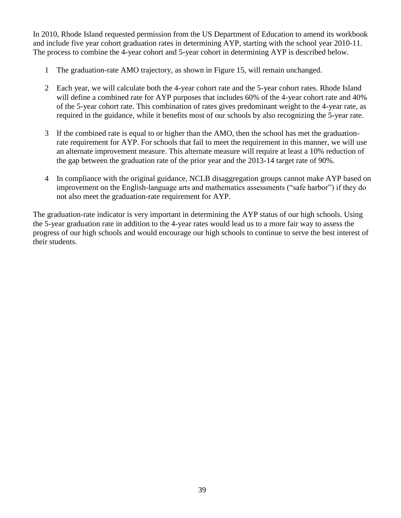In 2010, Rhode Island requested permission from the US Department of Education to amend its workbook and include five year cohort graduation rates in determining AYP, starting with the school year 2010-11. The process to combine the 4-year cohort and 5-year cohort in determining AYP is described below.

- 1 The graduation-rate AMO trajectory, as shown in Figure 15, will remain unchanged.
- 2 Each year, we will calculate both the 4-year cohort rate and the 5-year cohort rates. Rhode Island will define a combined rate for AYP purposes that includes 60% of the 4-year cohort rate and 40% of the 5-year cohort rate. This combination of rates gives predominant weight to the 4-year rate, as required in the guidance, while it benefits most of our schools by also recognizing the 5-year rate.
- 3 If the combined rate is equal to or higher than the AMO, then the school has met the graduationrate requirement for AYP. For schools that fail to meet the requirement in this manner, we will use an alternate improvement measure. This alternate measure will require at least a 10% reduction of the gap between the graduation rate of the prior year and the 2013-14 target rate of 90%.
- 4 In compliance with the original guidance, NCLB disaggregation groups cannot make AYP based on improvement on the English-language arts and mathematics assessments ("safe harbor") if they do not also meet the graduation-rate requirement for AYP.

The graduation-rate indicator is very important in determining the AYP status of our high schools. Using the 5-year graduation rate in addition to the 4-year rates would lead us to a more fair way to assess the progress of our high schools and would encourage our high schools to continue to serve the best interest of their students.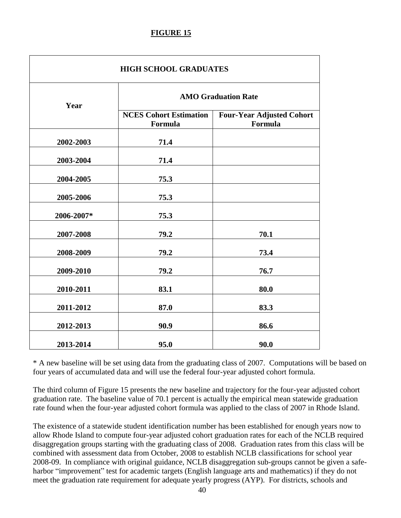## **FIGURE 15**

| <b>HIGH SCHOOL GRADUATES</b> |                                          |                                             |  |  |  |  |  |  |
|------------------------------|------------------------------------------|---------------------------------------------|--|--|--|--|--|--|
| Year                         | <b>AMO Graduation Rate</b>               |                                             |  |  |  |  |  |  |
|                              | <b>NCES Cohort Estimation</b><br>Formula | <b>Four-Year Adjusted Cohort</b><br>Formula |  |  |  |  |  |  |
| 2002-2003                    | 71.4                                     |                                             |  |  |  |  |  |  |
| 2003-2004                    | 71.4                                     |                                             |  |  |  |  |  |  |
| 2004-2005                    | 75.3                                     |                                             |  |  |  |  |  |  |
| 2005-2006                    | 75.3                                     |                                             |  |  |  |  |  |  |
| 2006-2007*                   | 75.3                                     |                                             |  |  |  |  |  |  |
| 2007-2008                    | 79.2                                     | 70.1                                        |  |  |  |  |  |  |
| 2008-2009                    | 79.2                                     | 73.4                                        |  |  |  |  |  |  |
| 2009-2010                    | 79.2                                     | 76.7                                        |  |  |  |  |  |  |
| 2010-2011                    | 83.1                                     | 80.0                                        |  |  |  |  |  |  |
| 2011-2012                    | 87.0                                     | 83.3                                        |  |  |  |  |  |  |
| 2012-2013                    | 90.9                                     | 86.6                                        |  |  |  |  |  |  |
| 2013-2014                    | 95.0                                     | 90.0                                        |  |  |  |  |  |  |

\* A new baseline will be set using data from the graduating class of 2007. Computations will be based on four years of accumulated data and will use the federal four-year adjusted cohort formula.

The third column of Figure 15 presents the new baseline and trajectory for the four-year adjusted cohort graduation rate. The baseline value of 70.1 percent is actually the empirical mean statewide graduation rate found when the four-year adjusted cohort formula was applied to the class of 2007 in Rhode Island.

The existence of a statewide student identification number has been established for enough years now to allow Rhode Island to compute four-year adjusted cohort graduation rates for each of the NCLB required disaggregation groups starting with the graduating class of 2008. Graduation rates from this class will be combined with assessment data from October, 2008 to establish NCLB classifications for school year 2008-09. In compliance with original guidance, NCLB disaggregation sub-groups cannot be given a safeharbor "improvement" test for academic targets (English language arts and mathematics) if they do not meet the graduation rate requirement for adequate yearly progress (AYP). For districts, schools and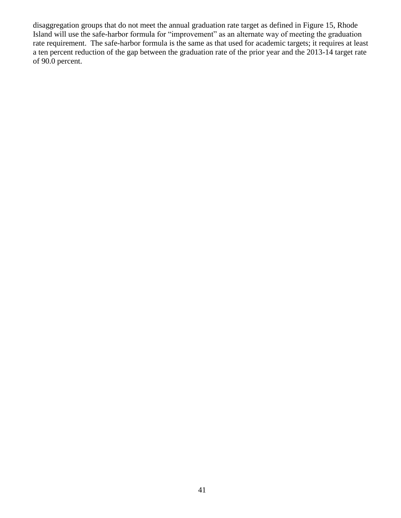disaggregation groups that do not meet the annual graduation rate target as defined in Figure 15, Rhode Island will use the safe-harbor formula for "improvement" as an alternate way of meeting the graduation rate requirement. The safe-harbor formula is the same as that used for academic targets; it requires at least a ten percent reduction of the gap between the graduation rate of the prior year and the 2013-14 target rate of 90.0 percent.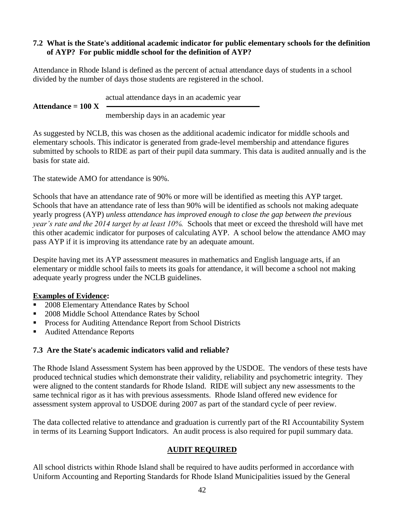## **7.2 What is the State's additional academic indicator for public elementary schools for the definition of AYP? For public middle school for the definition of AYP?**

Attendance in Rhode Island is defined as the percent of actual attendance days of students in a school divided by the number of days those students are registered in the school.

actual attendance days in an academic year Attendance  $= 100$  X membership days in an academic year

As suggested by NCLB, this was chosen as the additional academic indicator for middle schools and elementary schools. This indicator is generated from grade-level membership and attendance figures submitted by schools to RIDE as part of their pupil data summary. This data is audited annually and is the basis for state aid.

The statewide AMO for attendance is 90%.

Schools that have an attendance rate of 90% or more will be identified as meeting this AYP target. Schools that have an attendance rate of less than 90% will be identified as schools not making adequate yearly progress (AYP) *unless attendance has improved enough to close the gap between the previous year's rate and the 2014 target by at least 10%.* Schools that meet or exceed the threshold will have met this other academic indicator for purposes of calculating AYP. A school below the attendance AMO may pass AYP if it is improving its attendance rate by an adequate amount.

Despite having met its AYP assessment measures in mathematics and English language arts, if an elementary or middle school fails to meets its goals for attendance, it will become a school not making adequate yearly progress under the NCLB guidelines.

# **Examples of Evidence:**

- 2008 Elementary Attendance Rates by School
- 2008 Middle School Attendance Rates by School
- **Process for Auditing Attendance Report from School Districts**
- Audited Attendance Reports

# **7.3 Are the State's academic indicators valid and reliable?**

The Rhode Island Assessment System has been approved by the USDOE. The vendors of these tests have produced technical studies which demonstrate their validity, reliability and psychometric integrity. They were aligned to the content standards for Rhode Island. RIDE will subject any new assessments to the same technical rigor as it has with previous assessments. Rhode Island offered new evidence for assessment system approval to USDOE during 2007 as part of the standard cycle of peer review.

The data collected relative to attendance and graduation is currently part of the RI Accountability System in terms of its Learning Support Indicators. An audit process is also required for pupil summary data.

# **AUDIT REQUIRED**

All school districts within Rhode Island shall be required to have audits performed in accordance with Uniform Accounting and Reporting Standards for Rhode Island Municipalities issued by the General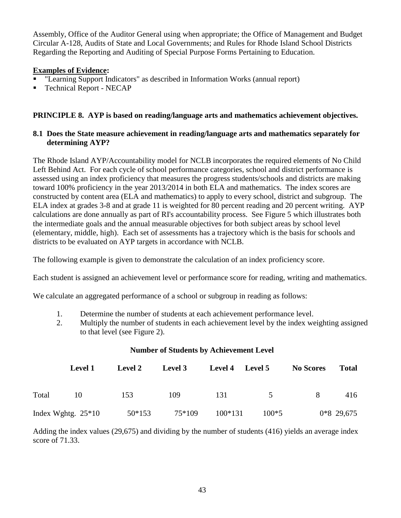Assembly, Office of the Auditor General using when appropriate; the Office of Management and Budget Circular A-128, Audits of State and Local Governments; and Rules for Rhode Island School Districts Regarding the Reporting and Auditing of Special Purpose Forms Pertaining to Education.

## **Examples of Evidence:**

- "Learning Support Indicators" as described in Information Works (annual report)
- Technical Report NECAP

## **PRINCIPLE 8. AYP is based on reading/language arts and mathematics achievement objectives.**

## **8.1 Does the State measure achievement in reading/language arts and mathematics separately for determining AYP?**

The Rhode Island AYP/Accountability model for NCLB incorporates the required elements of No Child Left Behind Act. For each cycle of school performance categories, school and district performance is assessed using an index proficiency that measures the progress students/schools and districts are making toward 100% proficiency in the year 2013/2014 in both ELA and mathematics. The index scores are constructed by content area (ELA and mathematics) to apply to every school, district and subgroup. The ELA index at grades 3-8 and at grade 11 is weighted for 80 percent reading and 20 percent writing. AYP calculations are done annually as part of RI's accountability process. See Figure 5 which illustrates both the intermediate goals and the annual measurable objectives for both subject areas by school level (elementary, middle, high). Each set of assessments has a trajectory which is the basis for schools and districts to be evaluated on AYP targets in accordance with NCLB.

The following example is given to demonstrate the calculation of an index proficiency score.

Each student is assigned an achievement level or performance score for reading, writing and mathematics.

We calculate an aggregated performance of a school or subgroup in reading as follows:

- 1. Determine the number of students at each achievement performance level.
- 2. Multiply the number of students in each achievement level by the index weighting assigned to that level (see Figure 2).

#### **Number of Students by Achievement Level**

|       | Level 1              | <b>Level 2</b> | <b>Level 3</b> | Level 4 Level 5 |         | <b>No Scores</b> | <b>Total</b> |
|-------|----------------------|----------------|----------------|-----------------|---------|------------------|--------------|
| Total | 10                   | 153            | 109            | 131             | 5       | 8                | 416          |
|       | Index Wghtg. $25*10$ | 50*153         | 75*109         | 100*131         | $100*5$ |                  | $0*8$ 29,675 |

Adding the index values (29,675) and dividing by the number of students (416) yields an average index score of 71.33.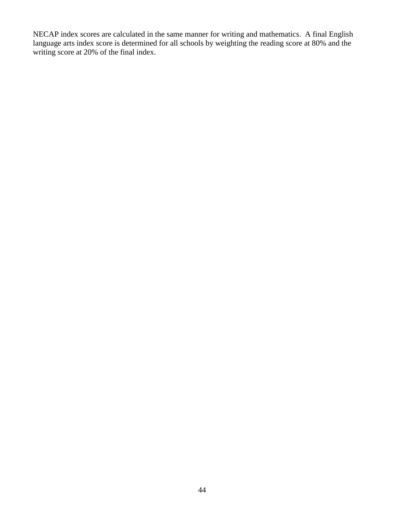NECAP index scores are calculated in the same manner for writing and mathematics. A final English language arts index score is determined for all schools by weighting the reading score at 80% and the writing score at 20% of the final index.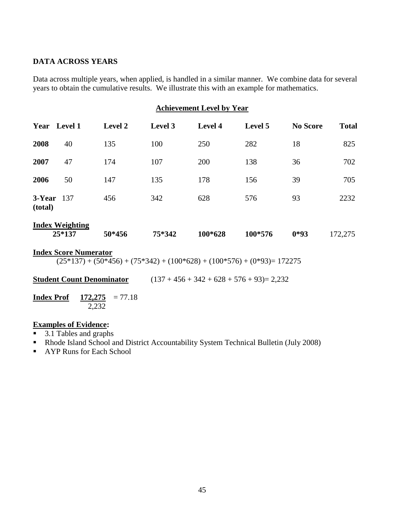## **DATA ACROSS YEARS**

Data across multiple years, when applied, is handled in a similar manner. We combine data for several years to obtain the cumulative results. We illustrate this with an example for mathematics.

| <b>Achievement Level by Year</b> |  |  |
|----------------------------------|--|--|
|                                  |  |  |

| Year              | <b>Level 1</b>                   | <b>Level 2</b> | Level 3 | <b>Level 4</b> | Level 5 | <b>No Score</b> | <b>Total</b> |
|-------------------|----------------------------------|----------------|---------|----------------|---------|-----------------|--------------|
| 2008              | 40                               | 135            | 100     | 250            | 282     | 18              | 825          |
| 2007              | 47                               | 174            | 107     | 200            | 138     | 36              | 702          |
| 2006              | 50                               | 147            | 135     | 178            | 156     | 39              | 705          |
| 3-Year<br>(total) | 137                              | 456            | 342     | 628            | 576     | 93              | 2232         |
|                   | <b>Index Weighting</b><br>25*137 | 50*456         | 75*342  | 100*628        | 100*576 | $0*93$          | 172,275      |

#### **Index Score Numerator**

 $(25*137) + (50*456) + (75*342) + (100*628) + (100*576) + (0*93) = 172275$ 

**Student Count Denominator** (137 + 456 + 342 + 628 + 576 + 93)= 2,232

**Index Prof**  $172,275 = 77.18$ 2,232

## **Examples of Evidence:**

- 3.1 Tables and graphs
- Rhode Island School and District Accountability System Technical Bulletin (July 2008)
- AYP Runs for Each School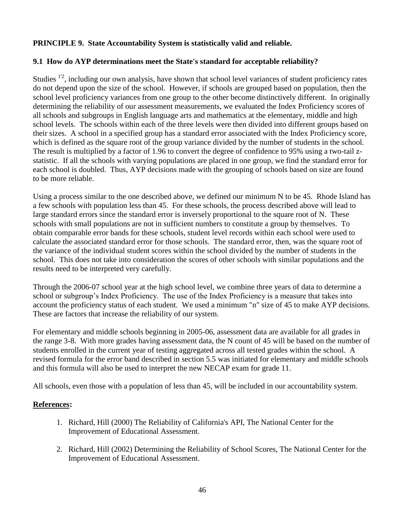## **PRINCIPLE 9. State Accountability System is statistically valid and reliable.**

## **9.1 How do AYP determinations meet the State's standard for acceptable reliability?**

Studies  $12$ , including our own analysis, have shown that school level variances of student proficiency rates do not depend upon the size of the school. However, if schools are grouped based on population, then the school level proficiency variances from one group to the other become distinctively different. In originally determining the reliability of our assessment measurements, we evaluated the Index Proficiency scores of all schools and subgroups in English language arts and mathematics at the elementary, middle and high school levels. The schools within each of the three levels were then divided into different groups based on their sizes. A school in a specified group has a standard error associated with the Index Proficiency score, which is defined as the square root of the group variance divided by the number of students in the school. The result is multiplied by a factor of 1.96 to convert the degree of confidence to 95% using a two-tail zstatistic. If all the schools with varying populations are placed in one group, we find the standard error for each school is doubled. Thus, AYP decisions made with the grouping of schools based on size are found to be more reliable.

Using a process similar to the one described above, we defined our minimum N to be 45. Rhode Island has a few schools with population less than 45. For these schools, the process described above will lead to large standard errors since the standard error is inversely proportional to the square root of N. These schools with small populations are not in sufficient numbers to constitute a group by themselves. To obtain comparable error bands for these schools, student level records within each school were used to calculate the associated standard error for those schools. The standard error, then, was the square root of the variance of the individual student scores within the school divided by the number of students in the school. This does not take into consideration the scores of other schools with similar populations and the results need to be interpreted very carefully.

Through the 2006-07 school year at the high school level, we combine three years of data to determine a school or subgroup's Index Proficiency. The use of the Index Proficiency is a measure that takes into account the proficiency status of each student. We used a minimum "n" size of 45 to make AYP decisions. These are factors that increase the reliability of our system.

For elementary and middle schools beginning in 2005-06, assessment data are available for all grades in the range 3-8. With more grades having assessment data, the N count of 45 will be based on the number of students enrolled in the current year of testing aggregated across all tested grades within the school. A revised formula for the error band described in section 5.5 was initiated for elementary and middle schools and this formula will also be used to interpret the new NECAP exam for grade 11.

All schools, even those with a population of less than 45, will be included in our accountability system.

## **References:**

- 1. Richard, Hill (2000) The Reliability of California's API, The National Center for the Improvement of Educational Assessment.
- 2. Richard, Hill (2002) Determining the Reliability of School Scores, The National Center for the Improvement of Educational Assessment.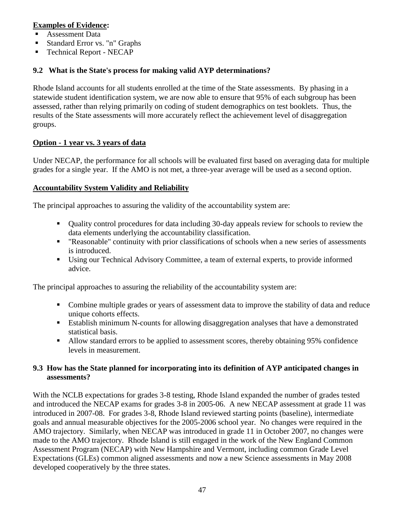## **Examples of Evidence:**

- Assessment Data
- Standard Error vs. "n" Graphs
- Technical Report NECAP

## **9.2 What is the State's process for making valid AYP determinations?**

Rhode Island accounts for all students enrolled at the time of the State assessments. By phasing in a statewide student identification system, we are now able to ensure that 95% of each subgroup has been assessed, rather than relying primarily on coding of student demographics on test booklets. Thus, the results of the State assessments will more accurately reflect the achievement level of disaggregation groups.

## **Option - 1 year vs. 3 years of data**

Under NECAP, the performance for all schools will be evaluated first based on averaging data for multiple grades for a single year. If the AMO is not met, a three-year average will be used as a second option.

## **Accountability System Validity and Reliability**

The principal approaches to assuring the validity of the accountability system are:

- Quality control procedures for data including 30-day appeals review for schools to review the data elements underlying the accountability classification.
- "Reasonable" continuity with prior classifications of schools when a new series of assessments is introduced.
- Using our Technical Advisory Committee, a team of external experts, to provide informed advice.

The principal approaches to assuring the reliability of the accountability system are:

- Combine multiple grades or years of assessment data to improve the stability of data and reduce unique cohorts effects.
- Establish minimum N-counts for allowing disaggregation analyses that have a demonstrated statistical basis.
- Allow standard errors to be applied to assessment scores, thereby obtaining 95% confidence levels in measurement.

## **9.3 How has the State planned for incorporating into its definition of AYP anticipated changes in assessments?**

With the NCLB expectations for grades 3-8 testing, Rhode Island expanded the number of grades tested and introduced the NECAP exams for grades 3-8 in 2005-06. A new NECAP assessment at grade 11 was introduced in 2007-08. For grades 3-8, Rhode Island reviewed starting points (baseline), intermediate goals and annual measurable objectives for the 2005-2006 school year. No changes were required in the AMO trajectory. Similarly, when NECAP was introduced in grade 11 in October 2007, no changes were made to the AMO trajectory. Rhode Island is still engaged in the work of the New England Common Assessment Program (NECAP) with New Hampshire and Vermont, including common Grade Level Expectations (GLEs) common aligned assessments and now a new Science assessments in May 2008 developed cooperatively by the three states.